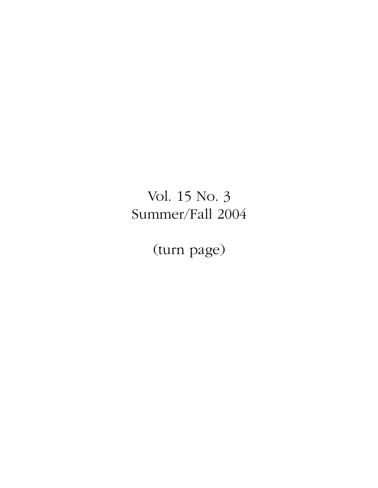# Vol. 15 No. 3 Summer/Fall 2004

(turn page)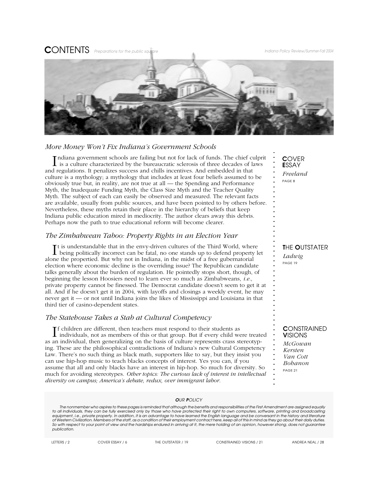**CONTENTS** Preparations for the public square *Indiana Policy Review/Summer-Fall 2004* 



### *More Money Won't Fix Indiana's Government Schools*

Indiana government schools are failing but not for lack of funds. The chief culpr<br>is a culture characterized by the bureaucratic sclerosis of three decades of laws ndiana government schools are failing but not for lack of funds. The chief culprit and regulations. It penalizes success and chills incentives. And embedded in that culture is a mythology; a mythology that includes at least four beliefs assumed to be obviously true but, in reality, are not true at all — the Spending and Performance Myth, the Inadequate Funding Myth, the Class Size Myth and the Teacher Quality Myth. The subject of each can easily be observed and measured. The relevant facts are available, usually from public sources, and have been pointed to by others before. Nevertheless, these myths retain their place in the hierarchy of beliefs that keep Indiana public education mired in mediocrity. The author clears away this debris. Perhaps now the path to true educational reform will become clearer.

### *The Zimbabwean Taboo: Property Rights in an Election Year*

It is understandable that in the envy-driven cultures of the Third World, where being politically incorrect can be fatal, no one stands up to defend property let t is understandable that in the envy-driven cultures of the Third World, where alone the propertied. But why not in Indiana, in the midst of a free gubernatorial election where economic decline is the overriding issue? The Republican candidate talks generally about the burden of regulation. He pointedly stops short, though, of beginning the lesson Hoosiers need to learn ever so much as Zimbabweans, *i.e.,* private property cannot be finessed. The Democrat candidate doesn't seem to get it at all. And if he doesn't get it in 2004, with layoffs and closings a weekly event, he may never get it — or not until Indiana joins the likes of Mississippi and Louisiana in that third tier of casino-dependent states.

### *The Statehouse Takes a Stab at Cultural Competency*

If children are different, then teachers must respond to their students as individuals, not as members of this or that group. But if every child we individuals, not as members of this or that group. But if every child were treated as an individual, then generalizing on the basis of culture represents crass stereotyping. These are the philosophical contradictions of Indiana's new Cultural Competency Law. There's no such thing as black math, supporters like to say, but they insist you can use hip-hop music to teach blacks concepts of interest. Yes you can, if you assume that all and only blacks have an interest in hip-hop. So much for diversity. So much for avoiding stereotypes. *Other topics: The curious lack of interest in intellectual diversity on campus; America's debate, redux, over immigrant labor.*

C*OVER* E*SSAY Freeland PAGE 8*

**. . . . . . . . . . . . . . . . . . . . . . . . . . . . . . . . . . . . . . . . . . . . . . . .**

### T*HE* O*UTSTATER*

*Ladwig PAGE 19*

### C*ONSTRAINED* V*ISIONS*

*McGowan Kersten Van Cott Bohanon PAGE 21*

#### O*UR* P*OLICY*

**. .** *The nonmember who aspires to these pages is reminded that although the benefits and responsibilities of the First Amendment are assigned equally* **.** *to all individuals, they can be fully exercised only by those who have protected their right to own computers, software, printing and broadcasting* equipment, i.e., private property. In addition, it is an advantage to have learned the English language and be conversant in the history and literature<br>of Western Civilization. Members of the staff, as a condition of their ot Western Civilization. Members of the statt, as a condition of their employment contract here, keep all of this in mind as they go about their daily dufies.<br>So with respect to your point of view and the hardships endured *publication.*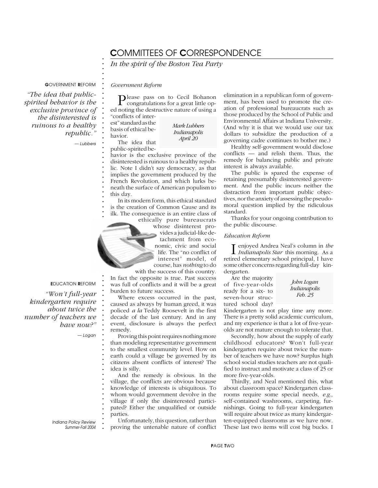## C*OMMITTEES OF* C*ORRESPONDENCE*

*In the spirit of the Boston Tea Party*

G*OVERNMENT* R*EFORM*

*"The idea that publicspirited behavior is the exclusive province of the disinterested is ruinous to a healthy republic."*

*— Lubbers*

**. . . . .**

**. . . . . . . . . . . . . . . . . . . . . . . . . . . . . . .**

**. . . . . . . . . . . . . . . . . . . . . . . . . . . . . . . . .**

Please pass on to Cecil Bohanon congratulations for a great little oped noting the destructive nature of using a "conflicts of inter-

est" standard as the basis of ethical behavior. The idea that

*Government Reform*

*Mark Lubbers Indianapolis April 20*

public-spirited be-

havior is the exclusive province of the disinterested is ruinous to a healthy republic. Note I didn't say democracy, as that implies the government produced by the French Revolution, and which lurks beneath the surface of American populism to this day.

In its modern form, this ethical standard is the creation of Common Cause and its ilk. The consequence is an entire class of

ethically pure bureaucrats whose disinterest provides a judicial-like detachment from economic, civic and social life. The "no conflict of interest" model, of course, has *nothing* to do

with the success of this country. In fact the opposite is true. Past success was full of conflicts and it will be a great burden to future success.

Where excess occurred in the past, caused as always by human greed, it was policed *a la* Teddy Roosevelt in the first decade of the last century. And in any event, disclosure is always the perfect remedy.

Proving this point requires nothing more than modeling representative government to the smallest community level. How on earth could a village be governed by its citizens absent conflicts of interest? The idea is silly.

And the remedy is obvious. In the village, the conflicts are obvious because knowledge of interests is ubiquitous. To whom would government devolve in the village if only the disinterested participated? Either the unqualified or outside parties.

Unfortunately, this question, rather than proving the untenable nature of conflict elimination in a republican form of government, has been used to promote the creation of professional bureaucrats such as those produced by the School of Public and Environmental Affairs at Indiana University. (And why it is that we would use our tax dollars to subsidize the production of a governing cadre continues to bother me.)

Healthy self-government would disclose conflicts — and relish them. Thus, the remedy for balancing public and private interest is always available.

The public is spared the expense of retaining presumably disinterested government. And the public incurs neither the distraction from important public objectives, nor the anxiety of assessing the pseudomoral question implied by the ridiculous standard.

Thanks for your ongoing contribution to the public discourse.

### *Education Reform*

I  *Indianapolis Star* this morning. As a enjoyed Andrea Neal's column in *the* retired elementary school principal, I have some other concerns regarding full-day kindergarten.

Are the majority of five-year-olds ready for a six- to seven-hour structured school day?

*John Logan Indianapolis Feb. 25*

Kindergarten is not play time any more. There is a pretty solid academic curriculum, and my experience is that a lot of five-yearolds are not mature enough to tolerate that.

Secondly, how about the supply of early childhood educators? Won't full-year kindergarten require about twice the number of teachers we have now? Surplus high school social studies teachers are not qualified to instruct and motivate a class of 25 or more five-year-olds.

Thirdly, and Neal mentioned this, what about classroom space? Kindergarten classrooms require some special needs, *e.g.,* self-contained washrooms, carpeting, furnishings. Going to full-year kindergarten will require about twice as many kindergarten-equipped classrooms as we have now. These last two items will cost big bucks. I

E*DUCATION* R*EFORM*

*"Won't full-year kindergarten require about twice the number of teachers we have now?"*

*— Logan*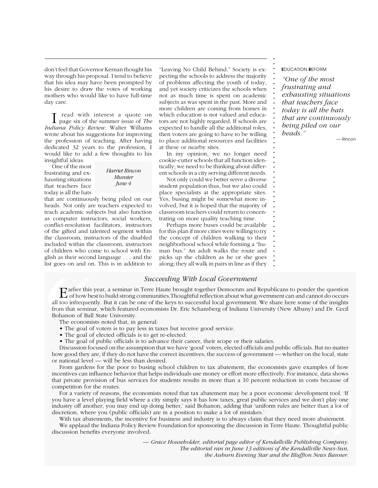don't feel that Governor Kernan thought his way through his proposal. I tend to believe that his idea may have been prompted by his desire to draw the votes of working mothers who would like to have full-time day care.

I read with interest a quote on<br>page six of the summer issue of *The*  read with interest a quote on *Indiana Policy Review.* Walter Williams wrote about his suggestions for improving the profession of teaching. After having dedicated 32 years to the profession, I would like to add a few thoughts to his insightful ideas.

One of the most frustrating and exhausting situations that teachers face today is all the hats

*Harriet Rincon Munster June 4*

that are continuously being piled on our heads. Not only are teachers expected to teach academic subjects but also function as computer instructors, social workers, conflict-resolution facilitators, instructors of the gifted and talented segment within the classroom, instructors of the disabled included within the classroom, instructors of children who come to school with English as their second language . . . and the list goes on and on. This is in addition to

"Leaving No Child Behind." Society is expecting the schools to address the majority of problems affecting the youth of today, and yet society criticizes the schools when not as much time is spent on academic subjects as was spent in the past. More and more children are coming from homes in which education is not valued and educators are not highly regarded. If schools are expected to handle all the additional roles, then voters are going to have to be willing to place additional resources and facilities at these or nearby sites.

In my opinion, we no longer need cookie-cutter schools that all function identically; we need to be thinking about different schools in a city serving different needs.

Not only could we better serve a diverse student population thus, but we also could place specialists at the appropriate sites. Yes, busing might be somewhat more involved, but it is hoped that the majority of classroom teachers could return to concentrating on more quality teaching time.

Perhaps more buses could be available for this plan if more cities were willing to try the concept of children walking to their neighborhood school while forming a "human bus." An adult walks the route and picks up the children as he or she goes along; they all walk in pairs in line as if they

### *Succeeding With Local Government*

**. . .**  $\mathbf{E}$  arlier this year, a seminar in Terre Haute brought together Democrats and Republicans to ponder the question<br>of how best to build strong communities. Thoughtful reflection about what government can and cannot do **.** all too infrequently. But it can be one of the keys to successful local government. We share here some of the insights **.** from that seminar, which featured economists Dr. Eric Schansberg of Indiana University (New Albany) and Dr. Cecil<br>Bohanon of Ball State University. **"** Bohanon of Ball State University.

The economists noted that, in general:

- The goal of voters is to pay less in taxes but receive good service.
- The goal of elected officials is to get re-elected.
- **.** The goal of public officials is to advance their career, their scope or their salaries.

**.** Discussion focused on the assumption that we have 'good' voters, elected officials and public officials. But no matter how good they are, if they do not have the correct incentives, the success of government — whether on the local, state<br>or national level — will be less than desired or national level — will be less than desired.

**.** From gardens for the poor to busing school children to tax abatement, the economists gave examples of how **.** incentives can influence behavior that helps individuals use money or effort more effectively. For instance, data shows **.** that private provision of bus services for students results in more than a 10 percent reduction in costs because of competition for the routes.

**. .** For a variety of reasons, the economists noted that tax abatement may be a poor economic development tool. 'If **.** you have a level playing field where a city simply says it has low taxes, great public services and we don't play one<br>industry of enother you may grad up deing better' gid Rebance, adding that iuniform mulge are better tha **.** industry off another, you may end up doing better,' said Bohanon, adding that 'uniform rules are better than a lot of relopment tool. 'If<br>we don't play one<br>better than a lot of<br>more abatement.<br>Thoughtful public<br>*lisbing Company.*<br>*lallville News-Sun,*<br>tion *News Banner.* discretion, where you (public officials) are in a position to make a lot of mistakes.'

With tax abatements, the incentive for business and industry is to always claim that they need more abatement.

with tax abatements, the incentive for business and measury is to always claim that they freed more abatement.<br>We applaud the Indiana Policy Review Foundation for sponsoring the discussion in Terre Haute. Thoughtful public discussion benefits everyone involved.

> *— Grace Householder, editorial page editor of Kendallville Publishing Company. The editorial ran in June 13 editions of the Kendallville News-Sun, the Auburn Evening Star and the Bluffton News Banner.*

E*DUCATION* R*EFORM*

**. . . . . . . . . . . . . . . . . . . . . . . . . . . . . . . . . . . . . . . . . . .**

*"One of the most frustrating and exhausting situations that teachers face today is all the hats that are continuously being piled on our heads."*

*— Rincon*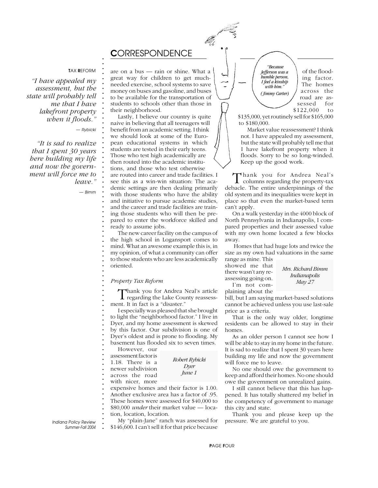

## C*ORRESPONDENCE*

#### T*AX* R*EFORM*

**. . . . . . . . . . . . . . . . . . . . . . . . . . . . . . . . . . . . . . . . . . . . . . . . . . . . . . . . . . . . . . . . . . . . . . . . . . .**

*"I have appealed my assessment, but the state will probably tell me that I have lakefront property when it floods."*

*— Rybicki*

*"It is sad to realize that I spent 30 years here building my life and now the government will force me to leave."*

*— Bimm*

are on a bus — rain or shine. What a great way for children to get muchneeded exercise, school systems to save money on buses and gasoline, and buses to be available for the transportation of students to schools other than those in their neighborhood.

Lastly, I believe our country is quite naive in believing that all teenagers will benefit from an academic setting. I think we should look at some of the European educational systems in which students are tested in their early teens. Those who test high academically are then routed into the academic institutions, and those who test otherwise are routed into career and trade facilities. I see this as a win-win situation: The academic settings are then dealing primarily with those students who have the ability and initiative to pursue academic studies, and the career and trade facilities are training those students who will then be prepared to enter the workforce skilled and ready to assume jobs.

The new career facility on the campus of the high school in Logansport comes to mind. What an awesome example this is, in my opinion, of what a community can offer to those students who are less academically oriented.

### *Property Tax Reform*

Thank you for Andrea Neal's article<br>regarding the Lake County reassessment. It in fact is a "disaster."

I especially was pleased that she brought to light the "neighborhood factor." I live in Dyer, and my home assessment is skewed by this factor. Our subdivision is one of Dyer's oldest and is prone to flooding. My basement has flooded six to seven times.

However, our

assessment factor is 1.18. There is a

newer subdivision

across the road

with nicer, more

expensive homes and their factor is 1.00. Another exclusive area has a factor of .95. These homes were assessed for \$40,000 to \$80,000 *under* their market value — loca-

*Robert Rybicki Dyer June 1*

tion, location, location.

**.** *Indiana Policy Review Summer-Fall 2004*

My "plain-Jane" ranch was assessed for \$146,600. I can't sell it for that price because

*Jefferson was a humble person, I feel a kinship with him." ( Jimmy Carter)*

 *"Because*

of the flooding factor. The homes across the road are assessed for \$122,000 to

\$135,000, yet routinely sell for \$165,000 to \$180,000.

Market value reassessment? I think not. I have appealed my assessment, but the state will probably tell me that I have lakefront property when it floods. Sorry to be so long-winded. Keep up the good work.

Thank you for Andrea Neal's<br>columns regarding the property-tax debacle. The entire underpinnings of the old system and its inequalities were kept in place so that even the market-based term can't apply.

On a walk yesterday in the 4000 block of North Pennsylvania in Indianapolis, I compared properties and their assessed value with my own home located a few blocks away.

 Homes that had huge lots and twice the size as my own had valuations in the same range as mine. This

showed me that there wasn't any reassessing going on. I'm not com-

*Mrs. Richard Bimm Indianapolis May 27*

plaining about the

bill, but I am saying market-based solutions cannot be achieved unless you use last-sale price as a criteria.

That is the only way older, longtime residents can be allowed to stay in their homes.

As an older person I cannot see how I will be able to stay in my home in the future. It is sad to realize that I spent 30 years here building my life and now the government will force me to leave.

No one should owe the government to keep and afford their homes. No one should owe the government on unrealized gains.

I still cannot believe that this has happened. It has totally shattered my belief in the competency of government to manage this city and state.

Thank you and please keep up the pressure. We are grateful to you.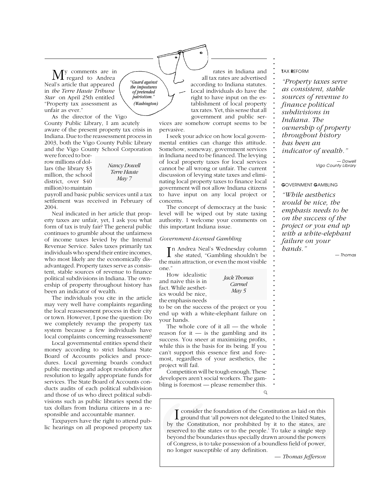y comments are in regard to Andrea Neal's article that appeared in *the Terre Haute Tribune Star* on April 25th entitled "Property tax assessment as unfair as ever."

As the director of the Vigo County Public Library, I am acutely aware of the present property tax crisis in Indiana. Due to the reassessment process in 2003, both the Vigo County Public Library and the Vigo County School Corporation

were forced to borrow millions of dollars (the library \$3 million, the school district, over \$40 million) to maintain

*Nancy Dowell Terre Haute May 7*

*"Guard against the impostures of pretended patriotism." (Washington)*

payroll and basic public services until a tax settlement was received in February of 2004.

Neal indicated in her article that property taxes are unfair, yet, I ask you what form of tax is truly fair? The general public continues to grumble about the unfairness of income taxes levied by the Internal Revenue Service. Sales taxes primarily tax individuals who spend their entire incomes, who most likely are the economically disadvantaged. Property taxes serve as consistent, stable sources of revenue to finance political subdivisions in Indiana. The ownership of property throughout history has been an indicator of wealth.

The individuals you cite in the article may very well have complaints regarding the local reassessment process in their city or town. However, I pose the question: Do we completely revamp the property tax system because a few individuals have local complaints concerning reassessment?

Local governmental entities spend their money according to strict Indiana State Board of Accounts policies and procedures. Local governing boards conduct public meetings and adopt resolution after resolution to legally appropriate funds for services. The State Board of Accounts conducts audits of each political subdivision and those of us who direct political subdivisions such as public libraries spend the tax dollars from Indiana citizens in a responsible and accountable manner.

Taxpayers have the right to attend pub-

rates in Indiana and all tax rates are advertised according to Indiana statutes. Local individuals do have the right to have input on the establishment of local property tax rates. Yet, this sense that all government and public services are somehow corrupt seems to be

pervasive. I seek your advice on how local governmental entities can change this attitude. Somehow, someway, government services in Indiana need to be financed. The levying of local property taxes for local services cannot be all wrong or unfair. The current discussion of levying state taxes and eliminating local property taxes to finance local government will not allow Indiana citizens to have input on any local project or concerns.

The concept of democracy at the basic level will be wiped out by state taxing authority. I welcome your comments on this important Indiana issue.

#### *Government-Licensed Gambling*

I n Andrea Neal's Wednesday column she stated, "Gambling shouldn't be the main attraction, or even the most visible one."

How idealistic and naive this is in fact. While aesthetics would be nice, the emphasis needs

to be on the success of the project or you end up with a white-elephant failure on

*Jack Thomas Carmel May 5*

your hands. The whole core of it all — the whole reason for it  $-$  is the gambling and its success. You sneer at maximizing profits,

while this is the basis for its being. If you can't support this essence first and foremost, regardless of your aesthetics, the project will fail.

Competition will be tough enough. These developers aren't social workers. The gambling is foremost — please remember this.

**.**

**.** consider the foundation of the Constitution as laid on this **. . .** ground that 'all powers not delegated to the United States, by the Constitution, nor prohibited by it to the states, are Next all proposed property tax<br>
and those of us who direct political subdi-<br>
visions such as public libraries spend the<br>
sponsible and accountable manner.<br>
The constitution of the Constitution as laid on this<br>
proposed and reserved to the states or to the people.' To take a single step beyond the boundaries thus specially drawn around the powers of Congress, is to take possession of a boundless field of power, no longer susceptible of any definition.

T*AX* R*EFORM*

*hands."*

**. . . . . . . . . . . . . . . . . . . . . . . . . . . . . . . . . . . . . . . . . . . . . . . . . . . . . . . . . . . . . . . . . . .**

*"Property taxes serve as consistent, stable sources of revenue to finance political subdivisions in Indiana. The ownership of property throughout history has been an indicator of wealth." — Dowell Vigo County Library* G*OVERNMENT* G*AMBLING "While aesthetics would be nice, the emphasis needs to be on the success of the project or you end up with a white-elephant failure on your*

*— Thomas*

*— Thomas Jefferson*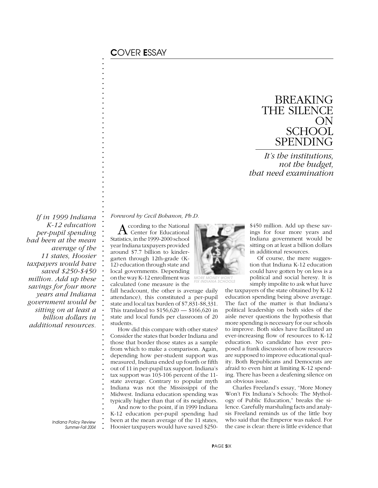**. . . . . . . . . . . . . . . . . . . . . . . . . . . . . . . . . . . . . . . . . . . . . . . . . . . . . . . . . . . . . . . . . . . . . . . . . . .**

## BREAKING THE SILENCE ON **SCHOOL** SPENDING

*It's the institutions, not the budget, that need examination*

 *If in 1999 Indiana K-12 education per-pupil spending had been at the mean average of the 11 states, Hoosier taxpayers would have saved \$250-\$450 million. Add up these savings for four more years and Indiana government would be sitting on at least a billion dollars in additional resources.*

*Foreword by Cecil Bohanon, Ph.D.*

A ccording to the National<br>Center for Educational Statistics, in the 1999-2000 school year Indiana taxpayers provided around \$7.7 billion to kindergarten through 12th-grade (K-12) education through state and local governments. Depending on the way K-12 enrollment was calculated (one measure is the

fall headcount, the other is average daily attendance), this constituted a per-pupil state and local tax burden of \$7,831-\$8,331. This translated to \$156,620 — \$166,620 in state and local funds per classroom of 20 students.

How did this compare with other states? Consider the states that border Indiana and those that border those states as a sample from which to make a comparison. Again, depending how per-student support was measured, Indiana ended up fourth or fifth out of 11 in per-pupil tax support. Indiana's tax support was 103-106 percent of the 11 state average. Contrary to popular myth Indiana was not the Mississippi of the Midwest. Indiana education spending was typically higher than that of its neighbors. And now to the point, if in 1999 Indiana

K-12 education per-pupil spending had been at the mean average of the 11 states, Hoosier taxpayers would have saved \$250-



FIX INDIANA SCHOOLS

\$450 million. Add up these savings for four more years and Indiana government would be sitting on at least a billion dollars in additional resources.

Of course, the mere suggestion that Indiana K-12 education could have gotten by on less is a political and social heresy. It is simply impolite to ask what have

the taxpayers of the state obtained by K-12 education spending being above average. The fact of the matter is that Indiana's political leadership on both sides of the aisle never questions the hypothesis that more spending is necessary for our schools to improve. Both sides have facilitated an ever-increasing flow of resources to K-12 education. No candidate has ever proposed a frank discussion of how resources are supposed to improve educational quality. Both Republicans and Democrats are afraid to even hint at limiting K-12 spending. There has been a deafening silence on an obvious issue.

Charles Freeland's essay, "More Money Won't Fix Indiana's Schools: The Mythology of Public Education," breaks the silence. Carefully marshaling facts and analysis Freeland reminds us of the little boy who said that the Emperor was naked. For the case is clear: there is little evidence that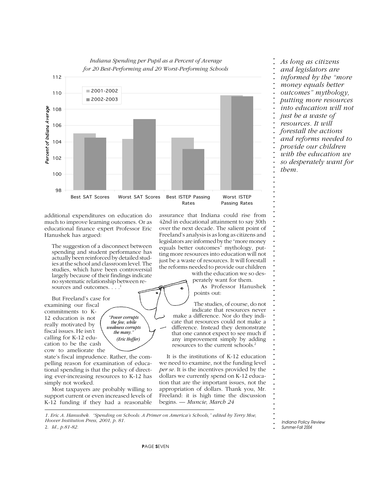

additional expenditures on education do much to improve learning outcomes. Or as educational finance expert Professor Eric Hanushek has argued:

The suggestion of a disconnect between spending and student performance has actually been reinforced by detailed studies at the school and classroom level. The studies, which have been controversial largely because of their findings indicate no systematic relationship between resources and outcomes. . . .<sup>1</sup>

> *"Power corrupts the few, while weakness corrupts the many. (Eric Hoffer)*

But Freeland's case for examining our fiscal commitments to K-12 education is not really motivated by fiscal issues. He isn't calling for K-12 education to be the cash cow to ameliorate the

state's fiscal imprudence. Rather, the compelling reason for examination of educational spending is that the policy of directing ever-increasing resources to K-12 has simply not worked.

Most taxpayers are probably willing to support current or even increased levels of K-12 funding if they had a reasonable assurance that Indiana could rise from 42nd in educational attainment to say 30th over the next decade. The salient point of Freeland's analysis is as long as citizens and legislators are informed by the "more money equals better outcomes" mythology, putting more resources into education will not just be a waste of resources. It will forestall the reforms needed to provide our children with the education we so des-

perately want for them.

As Professor Hanushek points out:

The studies, of course, do not indicate that resources never make a difference. Nor do they indicate that resources could not make a difference. Instead they demonstrate that one cannot expect to see much if any improvement simply by adding resources to the current schools.2

It is the institutions of K-12 education we need to examine, not the funding level *per se.* It is the incentives provided by the dollars we currently spend on K-12 education that are the important issues, not the appropriation of dollars. Thank you, Mr. Freeland: it is high time the discussion begins. *— Muncie, March 24*

*1. Eric A. Hanushek. "Spending on Schools: A Primer on America's Schools," edited by Terry Moe, Hoover Institution Press, 2001, p. 81.*

2. *Id., p.81-82.*

**.** *Indiana Policy Review Summer-Fall 2004*

**. . . . . . .**

**. . . . . . . .**

P*AGE* S*EVEN*

**. . . . . . . . . . . . . . . . . . . . . .** *and legislators are informed by the "more money equals better outcomes" mythology, putting more resources into education will not just be a waste of resources. It will forestall the actions and reforms needed to provide our children with the education we so desperately want for them.*

*As long as citizens*

**. . .**

**. . . . . . . . . . . . . . . . . . . . . . . . . . . . . . . . . . .**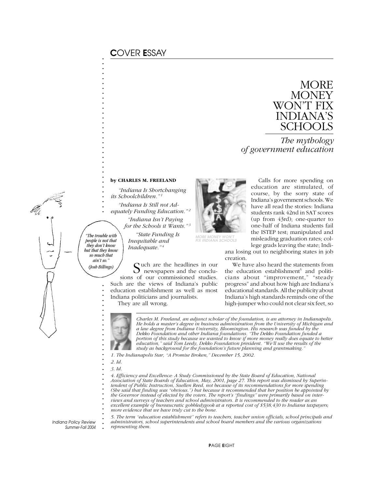## C*OVER* E*SSAY*

**. . . . . . . . . . . . . . . . . . . . . . . . . . . . . . . . .**



*The mythology of government education*

### **by CHARLES M. FREELAND**

*"Indiana Is Shortchanging its Schoolchildren." 1*

*"Indiana Is Still not Ad-*

They are all wrong.

*equately Funding Education." 2 "Indiana Isn't Paying*

*for the Schools it Wants." "State Funding Is*

*Inequitable and Inadequate." 4*



Calls for more spending on education are stimulated, of course, by the sorry state of Indiana's government schools. We have all read the stories: Indiana students rank 42nd in SAT scores (up from 43rd); one-quarter to one-half of Indiana students fail the ISTEP test; manipulated and misleading graduation rates; college grads leaving the state; Indi-

ana losing out to neighboring states in job creation.

We have also heard the statements from the education establishment<sup>5</sup> and politicians about "improvement," "steady progress" and about how high are Indiana's educational standards. All the publicity about Indiana's high standards reminds one of the high-jumper who could not clear six feet, so

**.** *"The trouble with* **.** *people is not that* **.** *they don't know* **.** *but that they know* **.** *so much that* **.** *ain't so."* **. .** *(Josh Billings)*

**. . . . . . . . . . . . . . . . . . . . . . . . . . . . . . .**

*Charles M. Freeland, an adjunct scholar of the foundation, is an attorney in Indianapolis. He holds a master's degree in business administration from the University of Michigan and a law degree from Indiana University, Bloomington. His research was funded by the Dekko Foundation and other Indiana foundations. "The Dekko Foundation funded a portion of this study because we wanted to know if more money really does equate to better education," said Tom Leedy, Dekko Foundation president. "We'll use the results of the study as background for the foundation's future planning and grantmaking."*

*1. The Indianapolis Star, "A Promise Broken," December 15, 2002.*

Cuch are the headlines in our newspapers and the conclusions of our commissioned studies. Such are the views of Indiana's public education establishment as well as most Indiana politicians and journalists.

- *2. Id.*
- *3. Id.*

*4. Efficiency and Excellence: A Study Commissioned by the State Board of Education, National Association of State Boards of Education, May, 2001, page 27. This report was dismissed by Superintendent of Public Instruction, Suellen Reed, not because of its recommendations for more spending (She said that finding was "obvious.") but because it recommended that her position be appointed by the Governor instead of elected by the voters. The report's "findings" were primarily based on interviews and surveys of teachers and school administrators. It is recommended to the reader as an excellent example of bureaucratic gobbledygook at a reported cost of \$538,430 to Indiana taxpayers; more evidence that we have truly cut to the bone.*

*5. The term "education establishment" refers to teachers, teacher union officials, school principals and administrators, school superintendents and school board members and the various organizations representing them.*

**.** *Indiana Policy Review Summer-Fall 2004*

P*AGE* E*IGHT*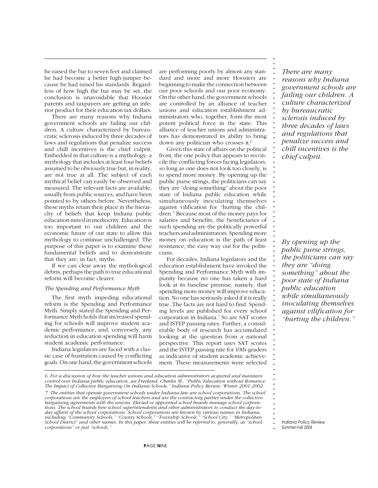he raised the bar to seven feet and claimed he had become a better high-jumper because he had raised his standards. Regardless of how high the bar may be set, the conclusion is unavoidable that Hoosier parents and taxpayers are getting an inferior product for their education tax dollars.

There are many reasons why Indiana government schools are failing our children. A culture characterized by bureaucratic sclerosis induced by three decades of laws and regulations that penalize success and chill incentives is the chief culprit. Embedded in that culture is a mythology; a mythology that includes at least four beliefs assumed to be obviously true but, in reality, are not true at all. The subject of each mythical belief can easily be observed and measured. The relevant facts are available, usually from public sources, and have been pointed to by others before. Nevertheless, these myths retain their place in the hierarchy of beliefs that keep Indiana public education mired in mediocrity. Education is too important to our children and the economic future of our state to allow this mythology to continue unchallenged. The purpose of this paper is to examine these fundamental beliefs and to demonstrate that they are, in fact, myths.

If we can clear away the mythological debris, perhaps the path to true educational reform will become clearer.

#### *The Spending and Performance Myth*

The first myth impeding educational reform is the Spending and Performance Myth. Simply stated the Spending and Performance Myth holds that increased spending for schools will improve student academic performance, and, conversely, any reduction in education spending will harm student academic performance.

Indiana legislators are faced with a classic case of frustration caused by conflicting goals. On one hand, the government schools

are performing poorly by almost any standard and more and more Hoosiers are beginning to make the connection between our poor schools and our poor economy. On the other hand, the government schools are controlled by an alliance of teacher unions and education establishment administrators who, together, form the most potent political force in the state. This alliance of teacher unions and administrators has demonstrated its ability to bring down any politician who crosses it.6

Given this state of affairs on the political front, the one policy that appears to reconcile the conflicting forces facing legislators, so long as one does not look too closely, is to spend more money. By opening up the public purse strings, the politicians can say they are "doing something" about the poor state of Indiana public education while simultaneously inoculating themselves against vilification for "hurting the children." Because most of the money pays for salaries and benefits, the beneficiaries of such spending are the politically powerful teachers and administrators. Spending more money on education is the path of least resistance, the easy way out for the politicians.

For decades, Indiana legislators and the education establishment have invoked the Spending and Performance Myth with impunity because no one has taken a hard look at its baseline premise, namely, that spending more money will improve education. No one has seriously asked if it is really true. The facts are not hard to find. Spending levels are published for every school corporation in Indiana.7 So are SAT scores and ISTEP passing rates. Further, a considerable body of research has accumulated looking at the question from a national perspective. This report uses SAT scores and the ISTEP passing rate for 10th-graders as indicative of student academic achievement. These measurements were selected

*There are many reasons why Indiana government schools are failing our children. A culture characterized by bureaucratic sclerosis induced by three decades of laws and regulations that penalize success and chill incentives is the chief culprit.*

**. . . . . . . . . . . . . . . . . . . . . . . . . . . . . . . . . . . . . . . . . . . . . . . . . . . . . . . . . . . . . . . . . . . . . . . . . .**

*By opening up the public purse strings, the politicians can say they are "doing something" about the poor state of Indiana public education while simultaneously inoculating themselves against vilification for "hurting the children."*

**.** *Indiana Policy Review Summer-Fall 2004*

**.**

*<sup>6.</sup> For a discussion of how the teacher unions and education administrators acquired and maintain control over Indiana public education, see Freeland, Charles M., "Public Education without Romance: The Impact of Collective Bargaining On Indiana Schools," Indiana Policy Review, Winter 2001-2002. 7. The entities that operate government schools under Indiana law are school corporations. The school corporations are the employers of school teachers and are the contracting parties under the collectivebargaining agreements with the unions. Elected or appointed school boards manage school corporations. The school boards hire school superintendents and other administrators to conduct the day-today affairs of the school corporations. School corporations are known by various names in Indiana, including "Community Schools," "County Schools," "Township Schools," "School City," "Metropolitan School District" and other names. In this paper, these entities will be referred to, generally, as "school corporations" or just "schools."*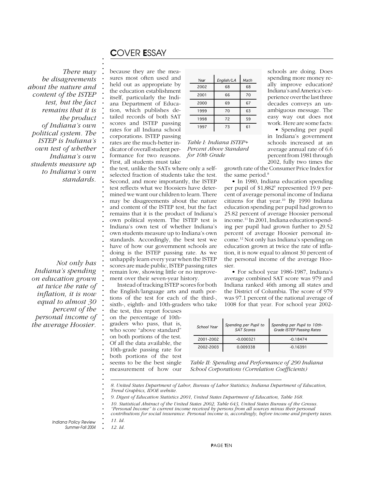## C*OVER* E*SSAY*

**. . .**

**. . . . . . . . . . . . . . . . . . . . . . . . . . . . . . . . . . . . . . . . . . . . . . . . . . . . . . . . . . . . . . . . . . . . .**

**.** *There may be disagreements about the nature and content of the ISTEP test, but the fact remains that it is the product of Indiana's own political system. The ISTEP is Indiana's own test of whether Indiana's own students measure up to Indiana's own standards.*

*Not only has Indiana's spending on education grown at twice the rate of inflation, it is now equal to almost 30 percent of the personal income of the average Hoosier.*

because they are the measures most often used and held out as appropriate by the education establishment itself, particularly the Indiana Department of Education, which publishes detailed records of both SAT scores and ISTEP passing rates for all Indiana school corporations. ISTEP passing rates are the much-better indicator of overall student performance for two reasons.

Instead of tracking ISTEP scores for both the English/language arts and math portions of the test for each of the third-, sixth-, eighth- and 10th-graders who take

the test, this report focuses on the percentage of 10thgraders who pass, that is, who score "above standard" on both portions of the test. Of all the data available, the 10th-grade passing rate for both portions of the test seems to be the best single measurement of how our

| Year | English/LA | Math |
|------|------------|------|
| 2002 | 68         | 68   |
| 2001 | 66         | 70   |
| 2000 | 69         | 67   |
| 1999 | 70         | 63   |
| 1998 | 72         | 59   |
| 1997 | 73         | 61   |

*Table I: Indiana ISTEP+ Percent Above Standard for 10th Grade*

schools are doing. Does spending more money really improve education? Indiana's and America's experience over the last three decades conveys an unambiguous message. The easy way out does not work. Here are some facts:

• Spending per pupil in Indiana's government schools increased at an average annual rate of 6.6 percent from 1981 through 2002, fully two times the

growth rate of the Consumer Price Index for the same period.<sup>8</sup>

• In 1980, Indiana education spending per pupil of \$1,882<sup>9</sup> represented 19.9 percent of average personal income of Indiana citizens for that year.10 By 1990 Indiana education spending per pupil had grown to 25.82 percent of average Hoosier personal income.11 In 2001, Indiana education spending per pupil had grown further to 29.52 percent of average Hoosier personal income.12 Not only has Indiana's spending on education grown at twice the rate of inflation, it is now equal to almost 30 percent of the personal income of the average Hoosier.

• For school year 1986-1987, Indiana's average combined SAT score was 979 and Indiana ranked 46th among all states and the District of Columbia. The score of 979 was 97.1 percent of the national average of 1008 for that year. For school year 2002-

| School Year | Spending per Pupil to<br><b>SAT Scores</b> | Spending per Pupil to 10th-<br><b>Grade ISTEP Passing Rates</b> |
|-------------|--------------------------------------------|-----------------------------------------------------------------|
| 2001-2002   | $-0.000321$                                | $-0.18474$                                                      |
| 2002-2003   | 0.009338                                   | $-0.16391$                                                      |

*Table II: Spending and Performance of 290 Indiana School Corporations (Correlation Coefficients)*

*8. United States Department of Labor, Bureau of Labor Statistics; Indiana Department of Education, Trend Graphics, IDOE website.*

*9. Digest of Education Statistics 2001, United States Department of Education, Table 168.*

*10. Statistical Abstract of the United States 2002, Table 643, United States Bureau of the Census.*

*"Personal Income" is current income received by persons from all sources minus their personal contributions for social insurance. Personal income is, accordingly, before income and property taxes.*

**. . .** *Indiana Policy Review Summer-Fall 2004*

*12. Id.*

*11. Id.*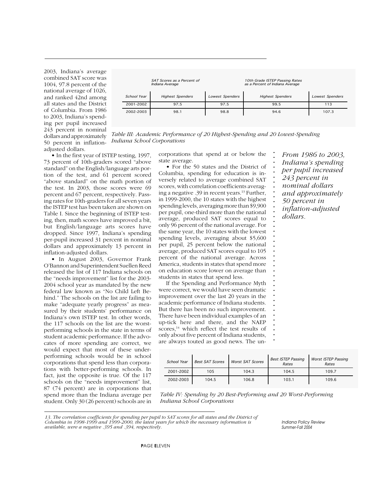2003, Indiana's average combined SAT score was 1004, 97.8 percent of the national average of 1026, and ranked 42nd among all states and the District of Columbia. From 1986 to 2003, Indiana's spending per pupil increased 243 percent in nominal dollars and approximately 50 percent in inflationadjusted dollars.

| SAT Scores as a Percent of<br>Indiana Average |                         |                        | 10th Grade ISTEP Passing Rates<br>as a Percent of Indiana Average |                        |
|-----------------------------------------------|-------------------------|------------------------|-------------------------------------------------------------------|------------------------|
| School Year                                   | <b>Highest Spenders</b> | <b>Lowest Spenders</b> | <b>Highest Spenders</b>                                           | <b>Lowest Spenders</b> |
| 2001-2002                                     | 97.5                    | 97.5                   | 99.5                                                              | 113                    |
| 2002-2003                                     | 98.1                    | 98.8                   | 94.6                                                              | 107.3                  |

**. . . . . . . . . . . . . . . . . . . . . . . . . . . . . . . . . . . . . . .**

*From 1986 to 2003, Indiana's spending per pupil increased 243 percent in nominal dollars and approximately 50 percent in inflation-adjusted*

*dollars.*

**. .** *Table III: Academic Performance of 20 Highest-Spending and 20 Lowest-Spending Indiana School Corporations*

• In the first year of ISTEP testing, 1997, 73 percent of 10th-graders scored "above standard" on the English/language arts portion of the test, and 61 percent scored "above standard" on the math portion of the test. In 2003, those scores were 69 percent and 67 percent, respectively. Passing rates for 10th-graders for all seven years the ISTEP test has been taken are shown on Table I. Since the beginning of ISTEP testing, then, math scores have improved a bit, but English/language arts scores have dropped. Since 1997, Indiana's spending per-pupil increased 31 percent in nominal dollars and approximately 13 percent in inflation-adjusted dollars.

• In August 2003, Governor Frank O'Bannon and Superintendent Suellen Reed released the list of 117 Indiana schools on the "needs improvement" list for the 2003- 2004 school year as mandated by the new federal law known as "No Child Left Behind." The schools on the list are failing to make "adequate yearly progress" as measured by their students' performance on Indiana's own ISTEP test. In other words, the 117 schools on the list are the worstperforming schools in the state in terms of student academic performance. If the advocates of more spending are correct, we would expect that most of these underperforming schools would be in school corporations that spend less than corporations with better-performing schools. In fact, just the opposite is true. Of the 117 schools on the "needs improvement" list, 87 (74 percent) are in corporations that spend more than the Indiana average per student. Only 30 (26 percent) schools are in

corporations that spend at or below the state average.

• For the 50 states and the District of Columbia, spending for education is inversely related to average combined SAT scores, with correlation coefficients averaging a negative .39 in recent years.<sup>13</sup> Further, in 1999-2000, the 10 states with the highest spending levels, averaging more than \$9,900 per pupil, one-third more than the national average, produced SAT scores equal to only 96 percent of the national average. For the same year, the 10 states with the lowest spending levels, averaging about \$5,600 per pupil, 25 percent below the national average, produced SAT scores equal to 105 percent of the national average. Across America, students in states that spend more on education score lower on average than students in states that spend less.

If the Spending and Performance Myth were correct, we would have seen dramatic improvement over the last 20 years in the academic performance of Indiana students. But there has been no such improvement. There have been individual examples of an up-tick here and there, and the NAEP scores, $14$  which reflect the test results of only about five percent of Indiana students, are always touted as good news. The un-

| School Year | <b>Best SAT Scores</b> | <b>Worst SAT Scores</b> | <b>Best ISTEP Passing</b><br>Rates | <b>Worst ISTEP Passing</b><br>Rates |
|-------------|------------------------|-------------------------|------------------------------------|-------------------------------------|
| 2001-2002   | 105                    | 104.3                   | 104.5                              | 109.7                               |
| 2002-2003   | 104.5                  | 106.8                   | 103.1                              | 109.6                               |

**. .** *Table IV: Spending by 20 Best-Performing and 20 Worst-Performing Indiana School Corporations*

*13. The correlation coefficients for spending per pupil to SAT scores for all states and the District of Columbia in 1998-1999 and 1999-2000, the latest years for which the necessary information is available, were a negative .395 and .394, respectively.*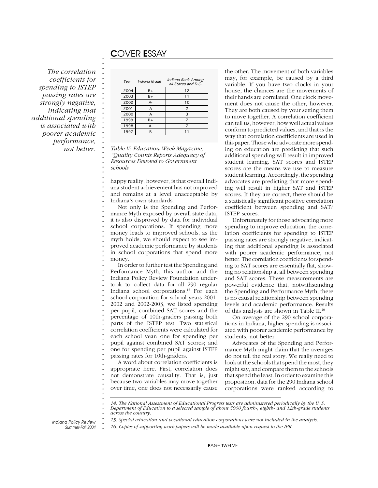## C*OVER* E*SSAY*

**. . . . . . . . . . . . . . . . . . . . . . . . . . . . . . . . . . . . . . . . . . . . . . . . . . . . . . . . . . . . . . . . . . . . . . . . . .**

*The correlation coefficients for spending to ISTEP passing rates are strongly negative, indicating that additional spending is associated with poorer academic performance, not better.*

| Year | Indiana Grade | Indiana Rank Among<br>all States and D.C. |
|------|---------------|-------------------------------------------|
| 2004 | $B+$          | 12                                        |
| 2003 | $B+$          |                                           |
| 2002 | $A-$          | 10                                        |
| 2001 | А             | $\overline{\phantom{a}}$                  |
| 2000 | А             | 3                                         |
| 1999 | $B+$          |                                           |
| 1998 | $A-$          |                                           |
| 1997 | R             |                                           |

*Table V: Education Week Magazine, "Quality Counts Reports Adequacy of Resources Devoted to Government schools"*

happy reality, however, is that overall Indiana student achievement has not improved and remains at a level unacceptable by Indiana's own standards.

Not only is the Spending and Performance Myth exposed by overall state data, it is also disproved by data for individual school corporations. If spending more money leads to improved schools, as the myth holds, we should expect to see improved academic performance by students in school corporations that spend more money.

In order to further test the Spending and Performance Myth, this author and the Indiana Policy Review Foundation undertook to collect data for all 290 regular Indiana school corporations.15 For each school corporation for school years 2001- 2002 and 2002-2003, we listed spending per pupil, combined SAT scores and the percentage of 10th-graders passing both parts of the ISTEP test. Two statistical correlation coefficients were calculated for each school year: one for spending per pupil against combined SAT scores; and one for spending per pupil against ISTEP passing rates for 10th-graders.

A word about correlation coefficients is appropriate here. First, correlation does not demonstrate causality. That is, just because two variables may move together over time, one does not necessarily cause

the other. The movement of both variables may, for example, be caused by a third variable. If you have two clocks in your house, the chances are the movements of their hands are correlated. One clock movement does not cause the other, however. They are both caused by your setting them to move together. A correlation coefficient can tell us, however, how well actual values conform to predicted values, and that is the way that correlation coefficients are used in this paper. Those who advocate more spending on education are predicting that such additional spending will result in improved student learning. SAT scores and ISTEP scores are the means we use to measure student learning. Accordingly, the spending advocates are predicting that more spending will result in higher SAT and ISTEP scores. If they are correct, there should be a statistically significant positive correlation coefficient between spending and SAT/ ISTEP scores.

Unfortunately for those advocating more spending to improve education, the correlation coefficients for spending to ISTEP passing rates are strongly negative, indicating that additional spending is associated with poorer academic performance, not better. The correlation coefficients for spending to SAT scores are essentially flat, showing no relationship at all between spending and SAT scores. These measurements are powerful evidence that, notwithstanding the Spending and Performance Myth, there is no causal relationship between spending levels and academic performance. Results of this analysis are shown in Table II.16

On average of the 290 school corporations in Indiana, higher spending is associated with poorer academic performance by students, not better.

Advocates of the Spending and Performance Myth might claim that the averages do not tell the real story. We really need to look at the schools that spend the most, they might say, and compare them to the schools that spend the least. In order to examine this proposition, data for the 290 Indiana school corporations were ranked according to

*14. The National Assessment of Educational Progress tests are administered periodically by the U. S. Department of Education to a selected sample of about 5000 fourth-, eighth- and 12th-grade students across the country.*

*15. Special education and vocational education corporations were not included in the analysis.*

**.** *16. Copies of supporting work papers will be made available upon request to the IPR.*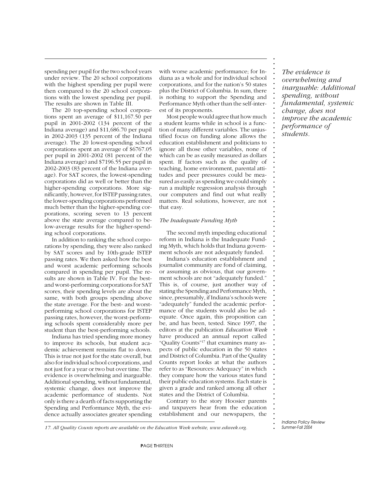spending per pupil for the two school years under review. The 20 school corporations with the highest spending per pupil were then compared to the 20 school corporations with the lowest spending per pupil. The results are shown in Table III.

The 20 top-spending school corporations spent an average of \$11,167.50 per pupil in 2001-2002 (134 percent of the Indiana average) and \$11,686.70 per pupil in 2002-2003 (135 percent of the Indiana average). The 20 lowest-spending school corporations spent an average of \$6767.05 per pupil in 2001-2002 (81 percent of the Indiana average) and \$7196.55 per pupil in 2002-2003 (83 percent of the Indiana average). For SAT scores, the lowest-spending corporations did as well or better than the higher-spending corporations. More significantly, however, for ISTEP passing rates, the lower-spending corporations performed much better than the higher-spending corporations, scoring seven to 13 percent above the state average compared to below-average results for the higher-spending school corporations.

In addition to ranking the school corporations by spending, they were also ranked by SAT scores and by 10th-grade ISTEP passing rates. We then asked how the best and worst academic performing schools compared in spending per pupil. The results are shown in Table IV. For the bestand worst-performing corporations for SAT scores, their spending levels are about the same, with both groups spending above the state average. For the best- and worstperforming school corporations for ISTEP passing rates, however, the worst-performing schools spent considerably more per student than the best-performing schools.

Indiana has tried spending more money to improve its schools, but student academic achievement remains flat to down. This is true not just for the state overall, but also for individual school corporations, and not just for a year or two but over time. The evidence is overwhelming and inarguable. Additional spending, without fundamental, systemic change, does not improve the academic performance of students. Not only is there a dearth of facts supporting the Spending and Performance Myth, the evidence actually associates greater spending

with worse academic performance; for Indiana as a whole and for individual school corporations, and for the nation's 50 states plus the District of Columbia. In sum, there is nothing to support the Spending and Performance Myth other than the self-interest of its proponents.

Most people would agree that how much a student learns while in school is a function of many different variables. The unjustified focus on funding alone allows the education establishment and politicians to ignore all those other variables, none of which can be as easily measured as dollars spent. If factors such as the quality of teaching, home environment, parental attitudes and peer pressures could be measured as easily as spending we could simply run a multiple regression analysis through our computers and find out what really matters. Real solutions, however, are not that easy.

### *The Inadequate Funding Myth*

The second myth impeding educational reform in Indiana is the Inadequate Funding Myth, which holds that Indiana government schools are not adequately funded.

Indiana's education establishment and journalist community are fond of claiming, or assuming as obvious, that our government schools are not "adequately funded." This is, of course, just another way of stating the Spending and Performance Myth, since, presumably, if Indiana's schools were "adequately" funded the academic performance of the students would also be adequate. Once again, this proposition can be, and has been, tested. Since 1997, the editors at the publication *Education Week* have produced an annual report called "Quality Counts"17 that examines many aspects of public education in the 50 states and District of Columbia. Part of the Quality Counts report looks at what the authors refer to as "Resources: Adequacy" in which they compare how the various states fund their public education systems. Each state is given a grade and ranked among all other states and the District of Columbia.

Contrary to the story Hoosier parents and taxpayers hear from the education establishment and our newspapers, the

*The evidence is overwhelming and inarguable: Additional spending, without fundamental, systemic change, does not improve the academic performance of students.*

**. . . . . . . . . . . . . . . . . . . . . . . . . . . . . . . . . . . . . . . . . . . . . . . . . . . . . . . . . . . . . . . . . . . . . . . . . . .**

*17. All Quality Counts reports are available on the Education Week website, www.edweek.org.*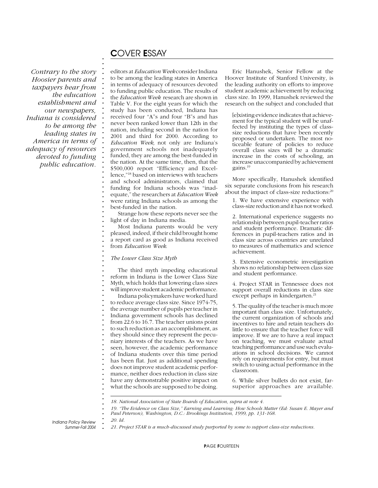### *Contrary to the story Hoosier parents and taxpayers hear from the education establishment and our newspapers, Indiana is considered to be among the leading states in America in terms of adequacy of resources devoted to funding public education.*

## C*OVER* E*SSAY*

**. . . . . . . . . . . . . . . . . . . . . . . . . . . . . . . . . . . . . . . . . . . . . . . . . . . . . . . . . . . . . . . . . . . . . . . . . .**

editors at *Education Week* consider Indiana to be among the leading states in America in terms of adequacy of resources devoted to funding public education. The results of the *Education Week* research are shown in Table V. For the eight years for which the study has been conducted, Indiana has received four "A"s and four "B"s and has never been ranked lower than 12th in the nation, including second in the nation for 2001 and third for 2000. According to *Education Week,* not only are Indiana's government schools not inadequately funded, they are among the best-funded in the nation. At the same time, then, that the \$500,000 report "Efficiency and Excellence,"18 based on interviews with teachers and school administrators, claimed that funding for Indiana schools was "inadequate," the researchers at *Education Week* were rating Indiana schools as among the best-funded in the nation.

Strange how these reports never see the light of day in Indiana media.

Most Indiana parents would be very pleased, indeed, if their child brought home a report card as good as Indiana received from *Education Week*.

*The Lower Class Size Myth*

The third myth impeding educational reform in Indiana is the Lower Class Size Myth, which holds that lowering class sizes will improve student academic performance. Indiana policymakers have worked hard to reduce average class size. Since 1974-75, the average number of pupils per teacher in Indiana government schools has declined from 22.6 to 16.7. The teacher unions point to such reduction as an accomplishment, as they should since they represent the pecuniary interests of the teachers. As we have seen, however, the academic performance of Indiana students over this time period has been flat. Just as additional spending does not improve student academic performance, neither does reduction in class size have any demonstrable positive impact on what the schools are supposed to be doing.

Eric Hanushek, Senior Fellow at the Hoover Institute of Stanford University, is the leading authority on efforts to improve student academic achievement by reducing class size. In 1999, Hanushek reviewed the research on the subject and concluded that

[e]xisting evidence indicates that achievement for the typical student will be unaffected by instituting the types of classsize reductions that have been recently proposed or undertaken. The most noticeable feature of policies to reduce overall class sizes will be a dramatic increase in the costs of schooling, an increase unaccompanied by achievement gains.19

More specifically, Hanushek identified six separate conclusions from his research about the impact of class-size reductions:<sup>20</sup>

1. We have extensive experience with class-size reduction and it has not worked.

2. International experience suggests no relationship between pupil-teacher ratios and student performance. Dramatic differences in pupil-teachers ratios and in class size across countries are unrelated to measures of mathematics and science achievement.

3. Extensive econometric investigation shows no relationship between class size and student performance.

4. Project STAR in Tennessee does not support overall reductions in class size except perhaps in kindergarten.<sup>21</sup>

5. The quality of the teacher is much more important than class size. Unfortunately, the current organization of schools and incentives to hire and retain teachers do little to ensure that the teacher force will improve. If we are to have a real impact on teaching, we must evaluate actual teaching performance and use such evaluations in school decisions. We cannot rely on requirements for entry, but must switch to using actual performance in the classroom.

6. While silver bullets do not exist, farsuperior approaches are available.

*18. National Association of State Boards of Education, supra at note 4.*

**.** *Indiana Policy Review Summer-Fall 2004* *20. Id.*

**.** *21. Project STAR is a much-discussed study purported by some to support class-size reductions.*

*<sup>19. &</sup>quot;The Evidence on Class Size," Earning and Learning: How Schools Matter (Ed: Susan E. Mayer and Paul Peterson), Washington, D.C.: Brookings Institution, 1999, pp. 131-168.*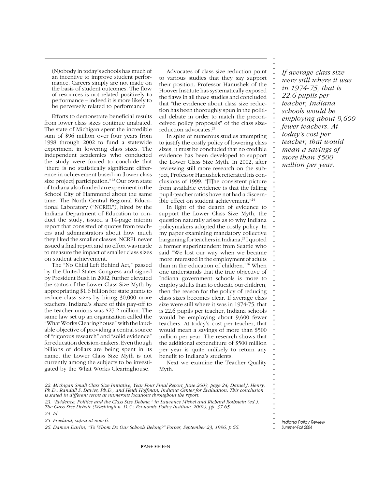(N)obody in today's schools has much of an incentive to improve student performance. Careers simply are not made on the basis of student outcomes. The flow of resources is not related positively to performance – indeed it is more likely to be perversely related to performance.

Efforts to demonstrate beneficial results from lower class sizes continue unabated. The state of Michigan spent the incredible sum of \$96 million over four years from 1998 through 2002 to fund a statewide experiment in lowering class sizes. The independent academics who conducted the study were forced to conclude that "there is no statistically significant difference in achievement based on [lower class size project] participation."22 Our own state of Indiana also funded an experiment in the School City of Hammond about the same time. The North Central Regional Educational Laboratory ("NCREL"), hired by the Indiana Department of Education to conduct the study, issued a 14-page interim report that consisted of quotes from teachers and administrators about how much they liked the smaller classes. NCREL never issued a final report and no effort was made to measure the impact of smaller class sizes on student achievement.

The "No Child Left Behind Act," passed by the United States Congress and signed by President Bush in 2002, further elevated the status of the Lower Class Size Myth by appropriating \$1.6 billion for state grants to reduce class sizes by hiring 30,000 more teachers. Indiana's share of this pay-off to the teacher unions was \$27.2 million. The same law set up an organization called the "What Works Clearinghouse" with the laudable objective of providing a central source of "rigorous research" and "solid evidence" for education decision-makers. Even though billions of dollars are being spent in its name, the Lower Class Size Myth is not currently among the subjects to be investigated by the What Works Clearinghouse.

Advocates of class size reduction point to various studies that they say support their position. Professor Hanushek of the Hoover Institute has systematically exposed the flaws in all those studies and concluded that "the evidence about class size reduction has been thoroughly spun in the political debate in order to match the preconceived policy proposals" of the class sizereduction advocates.23

In spite of numerous studies attempting to justify the costly policy of lowering class sizes, it must be concluded that no credible evidence has been developed to support the Lower Class Size Myth. In 2002, after reviewing still more research on the subject, Professor Hanushek reiterated his conclusions of 1999. "[T]he consistent picture from available evidence is that the falling pupil-teacher ratios have not had a discernible effect on student achievement."24

In light of the dearth of evidence to support the Lower Class Size Myth, the question naturally arises as to why Indiana policymakers adopted the costly policy. In my paper examining mandatory collective bargaining for teachers in Indiana,<sup>25</sup> I quoted a former superintendent from Seattle who said "We lost our way when we became more interested in the employment of adults than in the education of children."26 When one understands that the true objective of Indiana government schools is more to employ adults than to educate our children, then the reason for the policy of reducing class sizes becomes clear. If average class size were still where it was in 1974-75, that is 22.6 pupils per teacher, Indiana schools would be employing about 9,600 fewer teachers. At today's cost per teacher, that would mean a savings of more than \$500 million per year. The research shows that the additional expenditure of \$500 million per year is quite unlikely to return any benefit to Indiana's students.

Next we examine the Teacher Quality Myth.

*22. Michigan Small Class Size Initiative, Year Four Final Report, June 2003, page 24; Daniel J. Henry, Ph.D., Randall S. Davies, Ph.D., and Heidi Hoffman, Indiana Center for Evaluation. This conclusion is stated in different terms at numerous locations throughout the report.*

*23. "Evidence, Politics and the Class Size Debate," in Lawrence Mishel and Richard Rothstein (ed.), The Class Size Debate (Washington, D.C.: Economic Policy Institute, 2002), pp. 37-65.*

*24. Id.*

*25. Freeland, supra at note 6.*

*26. Damon Darlin, "To Whom Do Our Schools Belong?" Forbes, September 23, 1996, p.66.*

*If average class size were still where it was in 1974-75, that is 22.6 pupils per teacher, Indiana schools would be employing about 9,600 fewer teachers. At today's cost per teacher, that would mean a savings of more than \$500 million per year.*

**. . . . . . . . . . . . . . . . . . . . . . . . . . . . . . . . . . . . . . . . . . . . . . . . . . . . . . . . . . . . . . . . . . . . . . . . . . .**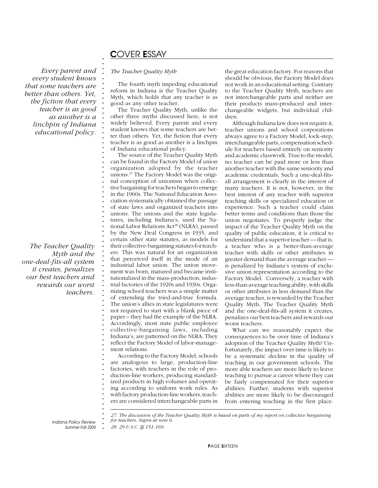## C*OVER* E*SSAY*

**. . . . . . . . . . . . . . . . . . . . . . . . . . . . . . . . . . . . . . . . . . . . . . . . . . . . . . . . . . . . . . . . . . . . . . . . . . .**

*Every parent and every student knows that some teachers are better than others. Yet, the fiction that every teacher is as good as another is a linchpin of Indiana educational policy.*

*The Teacher Quality Myth and the one-deal-fits-all system it creates, penalizes our best teachers and rewards our worst teachers.*

### *The Teacher Quality Myth*

The fourth myth impeding educational reform in Indiana is the Teacher Quality Myth, which holds that any teacher is as good as any other teacher.

The Teacher Quality Myth, unlike the other three myths discussed here, is not widely believed. Every parent and every student knows that some teachers are better than others. Yet, the fiction that every teacher is as good as another is a linchpin of Indiana educational policy.

The source of the Teacher Quality Myth can be found in the Factory Model of union organization adopted by the teacher unions.27 The Factory Model was the original conception of unionism when collective bargaining for teachers began to emerge in the 1960s. The National Education Association systematically obtained the passage of state laws and organized teachers into unions. The unions and the state legislatures, including Indiana's, used the National Labor Relations Act<sup>28</sup> (NLRA), passed by the New Deal Congress in 1935, and certain other state statutes, as models for their collective-bargaining statutes for teachers. This was natural for an organization that perceived itself in the mode of an industrial labor union. The union movement was born, matured and became institutionalized in the mass-production, industrial factories of the 1920s and 1930s. Organizing school teachers was a simple matter of extending the tried-and-true formula. The union's allies in state legislatures were not required to start with a blank piece of paper – they had the example of the NLRA. Accordingly, most state public employee collective-bargaining laws, including Indiana's, are patterned on the NLRA. They reflect the Factory Model of labor-management relations.

According to the Factory Model, schools are analogous to large, production-line factories, with teachers in the role of production-line workers, producing standardized products in high volumes and operating according to uniform work rules. As with factory production-line workers, teachers are considered interchangeable parts in the great education factory. For reasons that should be obvious, the Factory Model does not work in an educational setting. Contrary to the Teacher Quality Myth, teachers are not interchangeable parts and neither are their products mass-produced and interchangeable widgets, but individual children.

Although Indiana law does not require it, teacher unions and school corporations always agree to a Factory Model, lock-step, interchangeable parts, compensation schedule for teachers based entirely on seniority and academic classwork. True to the model, no teacher can be paid more or less than another teacher with the same seniority and academic credentials. Such a one-deal-fitsall arrangement is clearly in the interest of many teachers. It is not, however, in the best interest of any teacher with superior teaching skills or specialized education or experience. Such a teacher could claim better terms and conditions than those the union negotiates. To properly judge the impact of the Teacher Quality Myth on the quality of public education, it is critical to understand that a superior teacher — that is, a teacher who is a better-than-average teacher with skills or other attributes in greater demand than the average teacher is penalized by Indiana's system of exclusive union representation according to the Factory Model. Conversely, a teacher with less-than-average teaching ability, with skills or other attributes in less demand than the average teacher, is rewarded by the Teacher Quality Myth. The Teacher Quality Myth and the one-deal-fits-all system it creates, penalizes our best teachers and rewards our worst teachers.

What can we reasonably expect the consequences to be over time of Indiana's adoption of the Teacher Quality Myth? Unfortunately, the impact over time is likely to be a systematic decline in the quality of teaching in our government schools. The more able teachers are more likely to leave teaching to pursue a career where they can be fairly compensated for their superior abilities. Further, students with superior abilities are more likely to be discouraged from entering teaching in the first place.

**.** *Indiana Policy Review Summer-Fall 2004*

*27. The discussion of the Teacher Quality Myth is based on parts of my report on collective bargaining for teachers. Supra at note 6.*

*28. 29 U.S.C. §§ 151-169.*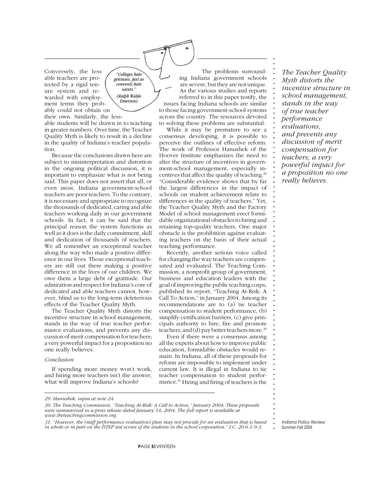Conversely, the less able teachers are protected by a rigid tenure system and rewarded with employment terms they probably could not obtain on

their own. Similarly, the lessable students will be drawn in to teaching in greater numbers. Over time, the Teacher Quality Myth is likely to result in a decline in the quality of Indiana's teacher population.

*"Colleges hate geniuses, just as convents hate saints." (Ralph Waldo Emerson)*

Because the conclusions drawn here are subject to misinterpretation and distortion in the ongoing political discussion, it is important to emphasize what is not being said. This paper does not assert that all, or even most, Indiana government-school teachers are poor teachers. To the contrary, it is necessary and appropriate to recognize the thousands of dedicated, caring and able teachers working daily in our government schools. In fact, it can be said that the principal reason the system functions as well as it does is the daily commitment, skill and dedication of thousands of teachers. We all remember an exceptional teacher along the way who made a positive difference in our lives. Those exceptional teachers are still out there making a positive difference in the lives of our children. We owe them a large debt of gratitude. Our admiration and respect for Indiana's core of dedicated and able teachers cannot, however, blind us to the long-term deleterious effects of the Teacher Quality Myth.

The Teacher Quality Myth distorts the incentive structure in school management, stands in the way of true teacher performance evaluations, and prevents any discussion of merit compensation for teachers; a very powerful impact for a proposition no one really believes.

#### *Conclusion*

If spending more money won't work, and hiring more teachers isn't the answer, what will improve Indiana's schools?

The problems surrounding Indiana government schools are severe, but they are not unique. As the various studies and reports referred to in this paper testify, the issues facing Indiana schools are similar to those facing government-school systems across the country. The resources devoted to solving these problems are substantial.

While it may be premature to see a consensus developing, it is possible to perceive the outlines of effective reform. The work of Professor Hanushek of the Hoover Institute emphasizes the need to alter the structure of incentives in government-school management, especially incentives that affect the quality of teaching.<sup>25</sup> "Considerable evidence shows that by far the largest differences in the impact of schools on student achievement relate to differences in the quality of teachers." Yet, the Teacher Quality Myth and the Factory Model of school management erect formidable organizational obstacles to hiring and retaining top-quality teachers. One major obstacle is the prohibition against evaluating teachers on the basis of their actual teaching performance.

Recently, another serious voice called for changing the way teachers are compensated and evaluated. The Teaching Commission, a nonprofit group of government, business and education leaders with the goal of improving the public teaching corps, published its report, "Teaching At-Risk: A Call To Action," in January 2004. Among its recommendations are to (a) tie teacher compensation to student performance, (b) simplify certification barriers, (c) give principals authority to hire, fire and promote teachers, and (d) pay better teachers more.30

Even if there were a consensus among all the experts about how to improve public education, formidable obstacles would remain. In Indiana, all of these proposals for reform are impossible to implement under current law. It is illegal in Indiana to tie teacher compensation to student performance.31 Hiring and firing of teachers is the

*The Teacher Quality Myth distorts the incentive structure in school management, stands in the way of true teacher performance evaluations, and prevents any discussion of merit compensation for teachers; a very powerful impact for a proposition no one really believes.*

**. . . . . . . . . . . . . . . . . . . . . . . . . . . . . . . . . . . . . . . . . . . . . . . . . . . . . . . . . . . . . . . . . . . . . . . . . . .**

*29. Hanushek, supra at note 24.*

*<sup>30.</sup> The Teaching Commission, "Teaching At-Risk: A Call to Action," January 2004. These proposals were summarized in a press release dated January 14, 2004. The full report is available at www.theteachingcommission.org.*

*<sup>31. &</sup>quot;However, the (staff performance evaluation) plan may not provide for an evaluation that is based in whole or in part on the ISTEP test scores of the students in the school corporation." I.C. 20-6.1-9-3.*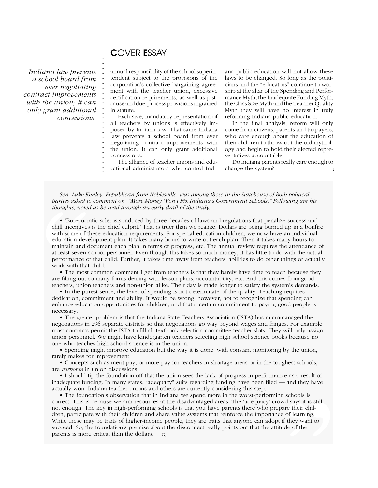## C*OVER* E*SSAY*

**. . . . . . . . . . . . . . . . . . . . . . . .**

*Indiana law prevents a school board from ever negotiating contract improvements with the union; it can only grant additional concessions.* annual responsibility of the school superintendent subject to the provisions of the corporation's collective bargaining agreement with the teacher union, excessive certification requirements, as well as justcause and due-process provisions ingrained in statute.

Exclusive, mandatory representation of all teachers by unions is effectively imposed by Indiana law. That same Indiana law prevents a school board from ever negotiating contract improvements with the union. It can only grant additional concessions.

The alliance of teacher unions and educational administrators who control Indiana public education will not allow these laws to be changed. So long as the politicians and the "educators" continue to worship at the altar of the Spending and Performance Myth, the Inadequate Funding Myth, the Class Size Myth and the Teacher Quality Myth they will have no interest in truly reforming Indiana public education.

In the final analysis, reform will only come from citizens, parents and taxpayers, who care enough about the education of their children to throw out the old mythology and begin to hold their elected representatives accountable.

Do Indiana parents really care enough to change the system?  $\Omega$ 

**.** *Sen. Luke Kenley, Republican from Noblesville, was among those in the Statehouse of both political* **.** *parties asked to comment on "More Money Won't Fix Indiana's Government Schools." Following are his* **. .** *thoughts, noted as he read through an early draft of the study:*

**.** • 'Bureaucratic sclerosis induced by three decades of laws and regulations that penalize success and **.** chill incentives is the chief culprit.' That is truer than we realize. Dollars are being burned up in a bonfire **.** with some of these education requirements. For special education children, we now have an individual **.** education development plan. It takes many hours to write out each plan. Then it takes many hours to maintain and document each plan in terms of progress, etc. The annual review requires the attendance of **. .** at least seven school personnel. Even though this takes so much money, it has little to do with the actual **.** performance of that child. Further, it takes time away from teachers' abilities to do other things or actually **.** work with that child. parties asked to a thoughts, noted a thoughts, noted a thoughts and contract chill incentives is with some of the education developed maintain and do at least seven scl performance of t work with that c **T** incenting out s

• The most common comment I get from teachers is that they barely have time to teach because they **.** are filling out so many forms dealing with lesson plans, accountability, etc. And this comes from good **.** teachers, union teachers and non-union alike. Their day is made longer to satisfy the system's demands.

**. .** • In the purest sense, the level of spending is not determinate of the quality. Teaching requires **.** dedication, commitment and ability. It would be wrong, however, not to recognize that spending can **. .** enhance education opportunities for children, and that a certain commitment to paying good people is necessary.

**. .** • The greater problem is that the Indiana State Teachers Association (ISTA) has micromanaged the **.** negotiations in 296 separate districts so that negotiations go way beyond wages and fringes. For example, most contracts permit the ISTA to fill all textbook selection committee teacher slots. They will only assign **. .** union personnel. We might have kindergarten teachers selecting high school science books because no **.** one who teaches high school science is in the union.

**.** • Spending might improve education but the way it is done, with constant monitoring by the union, **. .** rarely makes for improvement.

**.** • Concepts such as merit pay, or more pay for teachers in shortage areas or in the toughest schools, **.** are *verboten* in union discussions.

• I should tip the foundation off that the union sees the lack of progress in performance as a result of **.** inadequate funding. In many states, "adequacy" suits regarding funding have been filed — and they have **.** actually won. Indiana teacher unions and others are currently considering this step.

p schools is<br>wd says it is still<br>are their chil-<br>e of learning.<br>if they want to<br>ude of the **.** • The foundation's observation that in Indiana we spend more in the worst-performing schools is **.** correct. This is because we aim resources at the disadvantaged areas. The 'adequacy' crowd says it is still **.** not enough. The key in high-performing schools is that you have parents there who prepare their children, participate with their children and share value systems that reinforce the importance of learning. **. .** While these may be traits of higher-income people, they are traits that anyone can adopt if they want to while these may be traits of higher-income people, they are traits that anyone can adopt if they was ucceed. So, the foundation's premise about the disconnect really points out that the attitude of the parents is more critical than the dollars. $Q$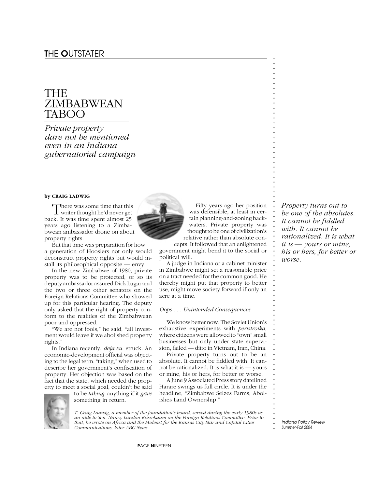## THE ZIMBABWEAN TABOO

*Private property dare not be mentioned even in an Indiana gubernatorial campaign*

### **by CRAIG LADWIG**

There was some time that this **L** writer thought he'd never get back. It was time spent almost 25 years ago listening to a Zimbabwean ambassador drone on about property rights.

But that time was preparation for how a generation of Hoosiers not only would deconstruct property rights but would install its philosophical opposite — envy.

In the new Zimbabwe of 1980, private property was to be protected, or so its deputy ambassador assured Dick Lugar and the two or three other senators on the Foreign Relations Committee who showed up for this particular hearing. The deputy only asked that the right of property conform to the realities of the Zimbabwean poor and oppressed.

"We are not fools," he said, "all investment would leave if we abolished property rights."

In Indiana recently, *deja vu* struck. An economic-development official was objecting to the legal term, "taking," when used to describe her government's confiscation of property. Her objection was based on the fact that the state, which needed the property to meet a social goal, couldn't be said

to be *taking* anything if it *gave* something in return.



Fifty years ago her position was defensible, at least in certain planning-and-zoning backwaters. Private property was thought to be one of civilization's relative rather than absolute con-

cepts. It followed that an enlightened government might bend it to the social or political will.

A judge in Indiana or a cabinet minister in Zimbabwe might set a reasonable price on a tract needed for the common good. He thereby might put that property to better use, might move society forward if only an acre at a time.

### *Oops . . . Unintended Consequences*

We know better now. The Soviet Union's exhaustive experiments with *peristroika,* where citizens were allowed to "own" small businesses but only under state supervision, failed — ditto in Vietnam, Iran, China.

Private property turns out to be an absolute. It cannot be fiddled with. It cannot be rationalized. It is what it is — yours or mine, his or hers, for better or worse.

A June 9 Associated Press story datelined Harare swings us full circle. It is under the headline, "Zimbabwe Seizes Farms; Abolishes Land Ownership."

*T. Craig Ladwig, a member of the foundation's board, served during the early 1980s as an aide to Sen. Nancy Landon Kassebaum on the Foreign Relations Committee. Prior to that, he wrote on Africa and the Mideast for the Kansas City Star and Capital Cities Communications, later ABC News.*

*Property turns out to be one of the absolutes. It cannot be fiddled with. It cannot be rationalized. It is what it is — yours or mine, his or hers, for better or worse.*

**. . . . . . . . . . . . . . . . . . . . . . . . . . . . . . . . . . . . . . . . . . . . . . . . . . . . . . . . . . . . . . . . . . . . . . . . . . .**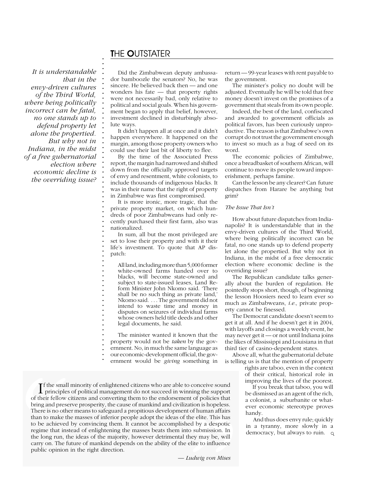## T*HE* O*UTSTATER*

**. . . . . . . . . . . . . . . . . . . . . . . . . . . . . . . . . . . . . . . . . . . . . . . . . . . . . . . . . . . . . .**

*It is understandable that in the envy-driven cultures of the Third World, where being politically incorrect can be fatal, no one stands up to defend property let alone the propertied. But why not in Indiana, in the midst of a free gubernatorial election where economic decline is the overriding issue?*

Did the Zimbabwean deputy ambassador bamboozle the senators? No, he was sincere. He believed back then — and one wonders his fate — that property rights were not necessarily bad, only relative to political and social goals. When his government began to apply that belief, however, investment declined in disturbingly absolute ways.

It didn't happen all at once and it didn't happen everywhere. It happened on the margin, among those property owners who could use their last bit of liberty to flee.

By the time of the Associated Press report, the margin had narrowed and shifted down from the officially approved targets of envy and resentment, white colonists, to include thousands of indigenous blacks. It was in their name that the right of property in Zimbabwe was first compromised.

It is more ironic, more tragic, that the private property market, on which hundreds of poor Zimbabweans had only recently purchased their first farm, also was nationalized.

In sum, all but the most privileged are set to lose their property and with it their life's investment. To quote that AP dispatch:

All land, including more than 5,000 former white-owned farms handed over to blacks, will become state-owned and subject to state-issued leases, Land Reform Minister John Nkomo said. 'There shall be no such thing as private land,' Nkomo said. . . . The government did not intend to waste time and money in disputes on seizures of individual farms whose owners held title deeds and other legal documents, he said.

The minister wanted it known that the property would not be *taken* by the government. No, in much the same language as our economic-development official, the gov-

ernment would be *giving* something in

**. I** f the small minority of enlightened citizens who are able to conceive sound principles of political management do not succeed in winning the support **.** of their fellow citizens and converting them to the endorsement of policies that **.** bring and preserve prosperity, the cause of mankind and civilization is hopeless. **. .** There is no other means to safeguard a propitious development of human affairs **.** than to make the masses of inferior people adopt the ideas of the elite. This has to be achieved by convincing them. It cannot be accomplished by a despotic regime that instead of enlightning the masses beats them into submission. In regime that instead of enlightening the masses beats them into submission. In **I** f the small m<br>principles contributions of their fellow cit<br>bring and preserv<br>There is no other<br>than to make the<br>to be achieved b<br>regime that inste<br>the long run, the<br>carry on. The fut<br>public opinion ir zation is hopeless.<br>
Int of human affairs<br>
The elite. This has<br>
hed by a despotic<br>
Into submission. In<br>
they may be, will<br>
e elite to influence<br>
Ludwig von Mises principles of political management do not succeed in winning the support the long run, the ideas of the majority, however detrimental they may be, will carry on. The future of mankind depends on the ability of the elite to influence public opinion in the right direction.

*— Ludwig von Mises*

return — 99-year leases with rent payable to the government.

The minister's policy no doubt will be adjusted. Eventually he will be told that free money doesn't invest on the promises of a government that steals from its own people.

Indeed, the best of the land, confiscated and awarded to government officials as political favors, has been curiously unproductive. The reason is that Zimbabwe's own corrupt do not trust the government enough to invest so much as a bag of seed on its word.

The economic policies of Zimbabwe, once a breadbasket of southern African, will continue to move its people toward impoverishment, perhaps famine.

Can the lesson be any clearer? Can future dispatches from Harare be anything but grim?

### *The Issue That Isn't*

How about future dispatches from Indianapolis? It is understandable that in the envy-driven cultures of the Third World, where being politically incorrect can be fatal, no one stands up to defend property let alone the propertied. But why not in Indiana, in the midst of a free democratic election where economic decline is the overriding issue?

The Republican candidate talks generally about the burden of regulation. He pointedly stops short, though, of beginning the lesson Hoosiers need to learn ever so much as Zimbabweans, *i.e.,* private property cannot be finessed.

The Democrat candidate doesn't seem to get it at all. And if he doesn't get it in 2004, with layoffs and closings a weekly event, he may never get it — or not until Indiana joins the likes of Mississippi and Louisiana in that third tier of casino-dependent states.

Above all, what the gubernatorial debate is telling us is that the mention of property rights are taboo, even in the context of their critical, historical role in

> improving the lives of the poorest. If you break that taboo, you will

be dismissed as an agent of the rich, a colonist, a suburbanite or whatever economic stereotype proves handy.

And thus does envy rule; quickly in a tyranny, more slowly in a democracy, but always to ruin.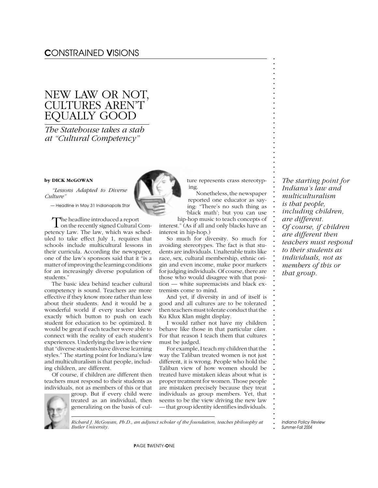## NEW LAW OR NOT, CULTURES AREN'T EQUALLY GOOD

*The Statehouse takes a stab at "Cultural Competency"*

### **by DICK McGOWAN**

*"Lessons Adapted to Diverse Culture"*

*— Headline in May 31 Indianapolis Star*

The headline introduced a report  $\perp$  on the recently signed Cultural Competency Law. The law, which was scheduled to take effect July 1, requires that schools include multicultural lessons in their curricula. According the newspaper*,* one of the law's sponsors said that it "is a matter of improving the learning conditions for an increasingly diverse population of students."

The basic idea behind teacher cultural competency is sound. Teachers are more effective if they know more rather than less about their students. And it would be a wonderful world if every teacher knew exactly which button to push on each student for education to be optimized. It would be great if each teacher were able to connect with the reality of each student's experiences. Underlying the law is the view that "diverse students have diverse learning styles." The starting point for Indiana's law and multiculturalism is that people, including children, are different.

Of course, if children are different then teachers must respond to their students as individuals, not as members of this or that group. But if every child were



treated as an individual, then generalizing on the basis of cul-



ture represents crass stereotyping.

**. . . . . . . . . . . . . . . . . . . . . . . . . . . . . . . . . . . . . . . . . . . . . . . . . . . . . . . . . . . . . . . . . . . . . . . . . . .**

Nonetheless, the newspaper reported one educator as saying: "There's no such thing as 'black math'; but you can use hip-hop music to teach concepts of

interest." (As if all and only blacks have an interest in hip-hop.)

So much for diversity. So much for avoiding stereotypes. The fact is that students are individuals. Unalterable traits like race, sex, cultural membership, ethnic origin and even income, make poor markers for judging individuals. Of course, there are those who would disagree with that position — white supremacists and black extremists come to mind.

And yet, if diversity in and of itself is good and all cultures are to be tolerated then teachers must tolerate conduct that the Ku Klux Klan might display.

I would rather not have my children behave like those in that particular *clan.* For that reason I teach them that cultures must be judged.

For example, I teach my children that the way the Taliban treated women is not just different, it is wrong. People who hold the Taliban view of how women should be treated have mistaken ideas about what is proper treatment for women. Those people are mistaken precisely because they treat individuals as group members. Yet, that seems to be the view driving the new law — that group identity identifies individuals.

*The starting point for Indiana's law and multiculturalism is that people, including children, are different. Of course, if children are different then teachers must respond to their students as individuals, not as members of this or that group.*

**.** *Indiana Policy Review Summer-Fall 2004*

P*AGE* T*WENTY-*O*NE*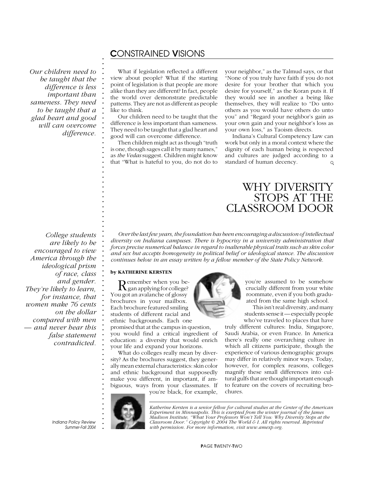*Our children need to be taught that the difference is less important than sameness. They need to be taught that a glad heart and good will can overcome difference.*

**. . . . . . . . . . . . . . . . . . . . . . . . . . . . . . . . . . . .**

What if legislation reflected a different view about people? What if the starting point of legislation is that people are more alike than they are different? In fact, people the world over demonstrate predictable patterns. They are not as different as people like to think.

Our children need to be taught that the difference is less important than sameness. They need to be taught that a glad heart and good will can overcome difference.

Then children might act as though "truth is one, though sages call it by many names," as *the Vedas* suggest. Children might know that "What is hateful to you, do not do to

your neighbor," as the Talmud says, or that "None of you truly have faith if you do not desire for your brother that which you desire for yourself," as the Koran puts it. If they would see in another a being like themselves, they will realize to "Do unto others as you would have others do unto you" and "Regard your neighbor's gain as your own gain and your neighbor's loss as your own loss," as Taoism directs.

Indiana's Cultural Competency Law can work but only in a moral context where the dignity of each human being is respected and cultures are judged according to a standard of human decency.  $\circ$ 

## WHY DIVERSITY STOPS AT THE CLASSROOM DOOR

**. . . . . . . . . . . . . . . . . . . . . . .** *College students are likely to be encouraged to view America through the ideological prism of race, class and gender. They're likely to learn, for instance, that women make 76 cents on the dollar compared with men — and never hear this false statement contradicted.*

*Over the last few years, the foundation has been encouraging a discussion of intellectual diversity on Indiana campuses. There is hypocrisy in a university administration that forces precise numerical balance in regard to inalterable physical traits such as skin color and sex but accepts homogeneity in political belief or ideological stance. The discussion continues below in an essay written by a fellow member of the State Policy Network.*

### **by KATHERINE KERSTEN**

Remember when you be- gan applying for college? You got an avalanche of glossy brochures in your mailbox. Each brochure featured smiling students of different racial and ethnic backgrounds. Each one

promised that at the campus in question, you would find a critical ingredient of education: a diversity that would enrich your life and expand your horizons.

What do colleges really mean by diversity? As the brochures suggest, they generally mean external characteristics: skin color and ethnic background that supposedly make you different, in important, if ambiguous, ways from your classmates. If you're black, for example,



you're assumed to be somehow crucially different from your white roommate, even if you both graduated from the same high school.

This isn't real diversity, and many students sense it — especially people who've traveled to places that have

truly different cultures: India, Singapore, Saudi Arabia, or even France. In America there's really one overarching culture in which all citizens participate, though the experience of various demographic groups may differ in relatively minor ways. Today, however, for complex reasons, colleges magnify these small differences into cultural gulfs that are thought important enough to feature on the covers of recruiting brochures.

**.** *Indiana Policy Review Summer-Fall 2004* **. . . . . . . . . . . . . . . .**

*Katherine Kersten is a senior fellow for cultural studies at the Center of the American Experiment in Minneapolis. This is exerpted from the winter journal of the James Madison Institute, "What Your Professors Won't Tell You: Why Diversity Stops at the Classroom Door." Copyright © 2004 The World & I. All rights reserved. Reprinted with permission. For more information, visit www.amexp.org.*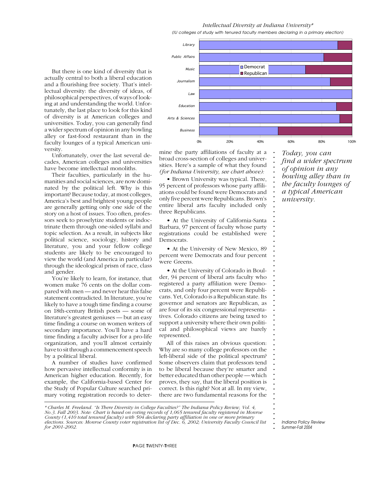*(IU colleges of study with tenured faculty members declaring in a primary election)*



Unfortunately, over the last several decades, American colleges and universities have become intellectual monoliths.

Their faculties, particularly in the humanities and social sciences, are now dominated by the political left. Why is this important? Because today, at most colleges, America's best and brightest young people are generally getting only one side of the story on a host of issues. Too often, professors seek to proselytize students or indoctrinate them through one-sided syllabi and topic selection. As a result, in subjects like political science, sociology, history and literature, you and your fellow college students are likely to be encouraged to view the world (and America in particular) through the ideological prism of race, class and gender.

You're likely to learn, for instance, that women make 76 cents on the dollar compared with men — and never hear this false statement contradicted. In literature, you're likely to have a tough time finding a course on 18th-century British poets — some of literature's greatest geniuses — but an easy time finding a course on women writers of secondary importance. You'll have a hard time finding a faculty adviser for a pro-life organization, and you'll almost certainly have to sit through a commencement speech by a political liberal.

A number of studies have confirmed how pervasive intellectual conformity is in American higher education. Recently, for example, the California-based Center for the Study of Popular Culture searched primary voting registration records to deter-



**. . . . . . . . . . . . . . . . . . . . . . . . . . . . . . . . . . . . . . . . . . . . . . . . . . . . . . . .**

mine the party affiliations of faculty at a broad cross-section of colleges and universities. Here's a sample of what they found *(for Indiana University, see chart above):*

• Brown University was typical. There, 95 percent of professors whose party affiliations could be found were Democrats and only five percent were Republicans. Brown's entire liberal arts faculty included only three Republicans.

• At the University of California-Santa Barbara, 97 percent of faculty whose party registrations could be established were Democrats.

• At the University of New Mexico, 89 percent were Democrats and four percent were Greens.

• At the University of Colorado in Boulder, 94 percent of liberal arts faculty who registered a party affiliation were Democrats, and only four percent were Republicans. Yet, Colorado is a Republican state. Its governor and senators are Republican, as are four of its six congressional representatives. Colorado citizens are being taxed to support a university where their own political and philosophical views are barely represented.

All of this raises an obvious question: Why are so many college professors on the left-liberal side of the political spectrum? Some observers claim that professors tend to be liberal because they're smarter and better educated than other people — which proves, they say, that the liberal position is correct. Is this right? Not at all. In my view, there are two fundamental reasons for the

*\* Charles M. Freeland. "Is There Diversity in College Faculties?" The Indiana Policy Review, Vol. 4, No.3. Fall 2003. Note: Chart is based on voting records of 1,065 tenured faculty registered in Monroe County (1,410 total tenured faculty) with 504 declaring party affiliation in one or more primary elections. Sources: Monroe County voter registration list of Dec. 6, 2002; University Faculty Council list for 2001-2002.*

*Today, you can find a wider spectrum of opinion in any bowling alley than in the faculty lounges of a typical American university.*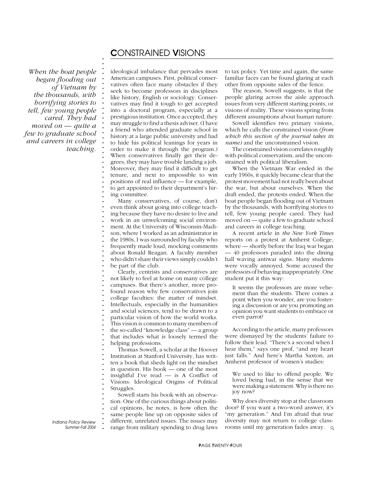*When the boat people began flooding out of Vietnam by the thousands, with horrifying stories to tell, few young people cared. They had moved on — quite a few to graduate school and careers in college teaching.* **. . . . . . . . . . . . . . . . . . . . . . . . . . . . . . . . . . . . . . . . . . . . . . . . . . . . . . . . . . . . . . . . . . . . . . . . . . .**

ideological imbalance that pervades most American campuses. First, political conservatives often face many obstacles if they seek to become professors in disciplines like history, English or sociology. Conservatives may find it tough to get accepted into a doctoral program, especially at a prestigious institution. Once accepted, they may struggle to find a thesis adviser. (I have a friend who attended graduate school in history at a large public university and had to hide his political leanings for years in order to make it through the program.) When conservatives finally get their degrees, they may have trouble landing a job. Moreover, they may find it difficult to get tenure, and next to impossible to win positions of real influence — for example, to get appointed to their department's hiring committee.

Many conservatives, of course, don't even think about going into college teaching because they have no desire to live and work in an unwelcoming social environment. At the University of Wisconsin-Madison, where I worked as an administrator in the 1980s, I was surrounded by faculty who frequently made loud, mocking comments about Ronald Reagan. A faculty member who didn't share their views simply couldn't be part of the club.

Clearly, centrists and conservatives are not likely to feel at home on many college campuses. But there's another, more profound reason why few conservatives join college faculties: the matter of mindset. Intellectuals, especially in the humanities and social sciences, tend to be drawn to a particular vision of how the world works. This vision is common to many members of the so-called "knowledge class" — a group that includes what is loosely termed the helping professions.

Thomas Sowell, a scholar at the Hoover Institution at Stanford University, has written a book that sheds light on the mindset in question. His book — one of the most insightful I've read — is A Conflict of Visions: Ideological Origins of Political Struggles.

Sowell starts his book with an observation: One of the curious things about political opinions, he notes, is how often the same people line up on opposite sides of different, unrelated issues. The issues may range from military spending to drug laws

to tax policy. Yet time and again, the same familiar faces can be found glaring at each other from opposite sides of the fence.

The reason, Sowell suggests, is that the people glaring across the aisle approach issues from very different starting points, or visions of reality. These visions spring from different assumptions about human nature.

Sowell identifies two primary visions, which he calls the constrained vision *(from which this section of the journal takes its name)* and the unconstrained vision*.*

The constrained vision correlates roughly with political conservatism, and the unconstrained with political liberalism.

When the Vietnam War ended in the early 1960s, it quickly became clear that the protest movement had not really been about the war, but about ourselves. When the draft ended, the protests ended. When the boat people began flooding out of Vietnam by the thousands, with horrifying stories to tell, few young people cared. They had moved on — quite a few to graduate school and careers in college teaching.

A recent article in *the New York Times* reports on a protest at Amherst College, where — shortly before the Iraq war began — 40 professors paraded into the dining hall waving antiwar signs. Many students were vocally annoyed. Some accused the professors of behaving inappropriately. One student put it this way:

It seems the professors are more vehement than the students. There comes a point when you wonder, are you fostering a discussion or are you promoting an opinion you want students to embrace or even parrot?

According to the article, many professors were dismayed by the students' failure to follow their lead. "There's a second when I hear them," says one prof, "and my heart just falls." And here's Martha Saxton, an Amherst professor of women's studies:

We used to like to offend people. We loved being bad, in the sense that we were making a statement. Why is there no joy now?

Why does diversity stop at the classroom door? If you want a two-word answer, it's "my generation." And I'm afraid that true diversity may not return to college classrooms until my generation fades away.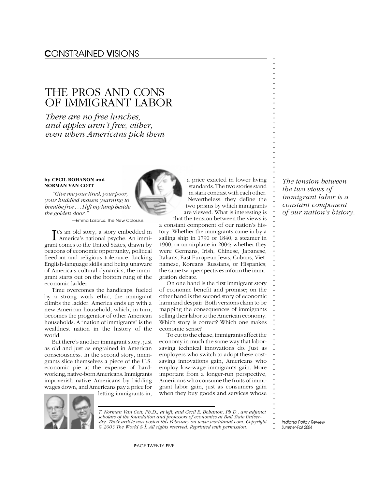## THE PROS AND CONS OF IMMIGRANT LABOR

*There are no free lunches, and apples aren't free, either, even when Americans pick them*

### **by CECIL BOHANON and NORMAN VAN COTT**

*"Give me your tired, your poor, your huddled masses yearning to breathe free . . . I lift my lamp beside the golden door."*

*—Emma Lazarus, The New Colossus*

It's an old story, a story embedded in<br>America's national psyche. An immi- America's national psyche. An immigrant comes to the United States, drawn by beacons of economic opportunity, political freedom and religious tolerance. Lacking English-language skills and being unaware of America's cultural dynamics, the immigrant starts out on the bottom rung of the economic ladder.

Time overcomes the handicaps; fueled by a strong work ethic, the immigrant climbs the ladder. America ends up with a new American household, which, in turn, becomes the progenitor of other American households. A "nation of immigrants" is the wealthiest nation in the history of the world.

But there's another immigrant story, just as old and just as engrained in American consciousness. In the second story, immigrants slice themselves a piece of the U.S. economic pie at the expense of hardworking, native-born Americans. Immigrants impoverish native Americans by bidding wages down, and Americans pay a price for

letting immigrants in,



*T. Norman Van Cott, Ph.D., at left, and Cecil E. Bohanon, Ph.D., are adjunct scholars of the foundation and professors of economics at Ball State University. Their article was posted this February on www.worldandi.com. Copyright © 2003 The World & I. All rights reserved. Reprinted with permission.*

a price exacted in lower living standards. The two stories stand in stark contrast with each other. Nevertheless, they define the two prisms by which immigrants are viewed. What is interesting is that the tension between the views is

a constant component of our nation's history. Whether the immigrants came in by a sailing ship in 1790 or 1840, a steamer in 1900, or an airplane in 2004; whether they were Germans, Irish, Chinese, Japanese, Italians, East European Jews, Cubans, Vietnamese, Koreans, Russians, or Hispanics; the same two perspectives inform the immigration debate.

On one hand is the first immigrant story of economic benefit and promise; on the other hand is the second story of economic harm and despair. Both versions claim to be mapping the consequences of immigrants selling their labor to the American economy. Which story is correct? Which one makes economic sense?

To cut to the chase, immigrants affect the economy in much the same way that laborsaving technical innovations do. Just as employers who switch to adopt these costsaving innovations gain, Americans who employ low-wage immigrants gain. More important from a longer-run perspective, Americans who consume the fruits of immigrant labor gain, just as consumers gain when they buy goods and services whose

*The tension between the two views of immigrant labor is a constant component of our nation's history.*

**. . . . . . . . . . . . . . . . . . . . . . . . . . . . . . . . . . . . . . . . . . . . . . . . . . . . . . . . . . . . . . . . . . . . . . . . . . .**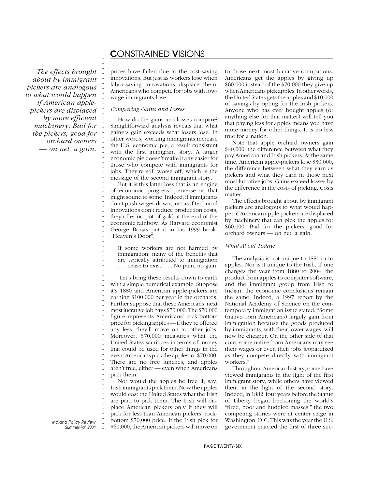*The effects brought about by immigrant pickers are analogous to what would happen if American applepickers are displaced by more efficient machinery. Bad for the pickers, good for orchard owners — on net, a gain.*

**. . . . . . . . . . . . . . . . . . . . . . . . . . . . . . . . . . . . . . . . . . . . . . . . . . . . . . . . . . . . . . . . . . . . . . . . . . .**

prices have fallen due to the cost-saving innovations. But just as workers lose when labor-saving innovations displace them, Americans who compete for jobs with lowwage immigrants lose.

#### *Comparing Gains and Losses*

How do the gains and losses compare? Straightforward analysis reveals that what gainers gain exceeds what losers lose. In other words, working immigrants increase the U.S. economic pie, a result consistent with the first immigrant story. A larger economic pie doesn't make it any easier for those who compete with immigrants for jobs. They're still worse off, which is the message of the second immigrant story.

But it is this latter loss that is an engine of economic progress, perverse as that might sound to some. Indeed, if immigrants don't push wages down, just as if technical innovations don't reduce production costs, they offer no pot of gold at the end of the economic rainbow. As Harvard economist George Borjas put it in his 1999 book, "Heaven's Door":

If some workers are not harmed by immigration, many of the benefits that are typically attributed to immigration . . . cease to exist. . . . No pain, no gain.

Let's bring these results down to earth with a simple numerical example. Suppose it's 1880 and American apple-pickers are earning \$100,000 per year in the orchards. Further suppose that these Americans' next most lucrative job pays \$70,000. The \$70,000 figure represents Americans' rock-bottom price for picking apples — if they're offered any less, they'll move on to other jobs. Moreover, \$70,000 measures what the United States sacrifices in terms of money that could be used for other things in the event Americans pick the apples for \$70,000. There are no free lunches, and apples aren't free, either — even when Americans pick them.

Nor would the apples be free if, say, Irish immigrants pick them. Now the apples would cost the United States what the Irish are paid to pick them. The Irish will displace American pickers only if they will pick for less than American pickers' rockbottom \$70,000 price. If the Irish pick for \$60,000, the American pickers will move on

to those next most lucrative occupations. Americans get the apples by giving up \$60,000 instead of the \$70,000 they give up when Americans pick apples. In other words, the United States gets the apples and \$10,000 of savings by opting for the Irish pickers. Anyone who has ever bought apples (or anything else for that matter) will tell you that paying less for apples means you have more money for other things. It is no less true for a nation.

Note that apple orchard owners gain \$40,000, the difference between what they pay American and Irish pickers. At the same time, American apple-pickers lose \$30,000, the difference between what they earn as pickers and what they earn in those next most lucrative jobs. Gains exceed losses by the difference in the costs of picking. Costs matter.

The effects brought about by immigrant pickers are analogous to what would happen if American apple-pickers are displaced by machinery that can pick the apples for \$60,000. Bad for the pickers, good for orchard owners — on net, a gain.

### *What About Today?*

The analysis is not unique to 1880 or to apples. Nor is it unique to the Irish. If one changes the year from 1880 to 2004, the product from apples to computer software, and the immigrant group from Irish to Indian, the economic conclusions remain the same. Indeed, a 1997 report by the National Academy of Science on the contemporary immigration issue stated: "Some (native-born Americans) largely gain from immigration because the goods produced by immigrants, with their lower wages, will now be cheaper. On the other side of that coin, some native-born Americans may see their wages or even their jobs jeopardized as they compete directly with immigrant workers."

Throughout American history, some have viewed immigrants in the light of the first immigrant story, while others have viewed them in the light of the second story. Indeed, in 1882, four years before the Statue of Liberty began beckoning the world's "tired, poor and huddled masses," the two competing stories were at center stage in Washington, D.C. This was the year the U.S. government enacted the first of three suc-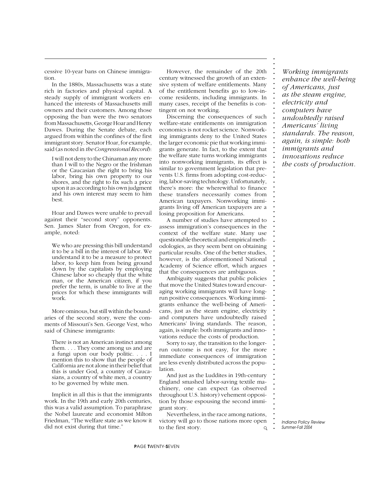cessive 10-year bans on Chinese immigration.

In the 1880s, Massachusetts was a state rich in factories and physical capital. A steady supply of immigrant workers enhanced the interests of Massachusetts mill owners and their customers. Among those opposing the ban were the two senators from Massachusetts, George Hoar and Henry Dawes. During the Senate debate, each argued from within the confines of the first immigrant story. Senator Hoar, for example, said (as noted in *the Congressional Record*):

I will not deny to the Chinaman any more than I will to the Negro or the Irishman or the Caucasian the right to bring his labor, bring his own property to our shores, and the right to fix such a price upon it as according to his own judgment and his own interest may seem to him best.

Hoar and Dawes were unable to prevail against their "second story" opponents. Sen. James Slater from Oregon, for example, noted:

We who are pressing this bill understand it to be a bill in the interest of labor. We understand it to be a measure to protect labor, to keep him from being ground down by the capitalists by employing Chinese labor so cheaply that the white man, or the American citizen, if you prefer the term, is unable to live at the prices for which these immigrants will work.

More ominous, but still within the boundaries of the second story, were the comments of Missouri's Sen. George Vest, who said of Chinese immigrants:

There is not an American instinct among them. . . . They come among us and are a fungi upon our body politic. . . . I mention this to show that the people of California are not alone in their belief that this is under God, a country of Caucasians, a country of white men, a country to be governed by white men.

Implicit in all this is that the immigrants work. In the 19th and early 20th centuries, this was a valid assumption. To paraphrase the Nobel laureate and economist Milton Friedman, "The welfare state as we know it did not exist during that time."

However, the remainder of the 20th century witnessed the growth of an extensive system of welfare entitlements. Many of the entitlement benefits go to low-income residents, including immigrants. In many cases, receipt of the benefits is contingent on not working.

Discerning the consequences of such welfare-state entitlements on immigration economics is not rocket science. Nonworking immigrants deny to the United States the larger economic pie that working immigrants generate. In fact, to the extent that the welfare state turns working immigrants into nonworking immigrants, its effect is similar to government legislation that prevents U.S. firms from adopting cost-reducing, labor-saving technology. Unfortunately, there's more: the wherewithal to finance these transfers necessarily comes from American taxpayers. Nonworking immigrants living off American taxpayers are a losing proposition for Americans.

A number of studies have attempted to assess immigration's consequences in the context of the welfare state. Many use questionable theoretical and empirical methodologies, as they seem bent on obtaining particular results. One of the better studies, however, is the aforementioned National Academy of Science effort, which argues that the consequences are ambiguous.

Ambiguity suggests that public policies that move the United States toward encouraging working immigrants will have longrun positive consequences. Working immigrants enhance the well-being of Americans, just as the steam engine, electricity and computers have undoubtedly raised Americans' living standards. The reason, again, is simple: both immigrants and innovations reduce the costs of production.

Sorry to say, the transition to the longerrun outcome is not easy, for the more immediate consequences of immigration are less evenly distributed across the population.

And just as the Luddites in 19th-century England smashed labor-saving textile machinery, one can expect (as observed throughout U.S. history) vehement opposition by those espousing the second immigrant story.

Nevertheless, in the race among nations, victory will go to those nations more open to the first story.  $\circ$ 

*Working immigrants enhance the well-being of Americans, just as the steam engine, electricity and computers have undoubtedly raised Americans' living standards. The reason, again, is simple: both immigrants and innovations reduce the costs of production.*

**. . . . . . . . . . . . . . . . . . . . . . . . . . . . . . . . . . . . . . . . . . . . . . . . . . . . . . . . . . . . . . . . . . . . . . . . . . .**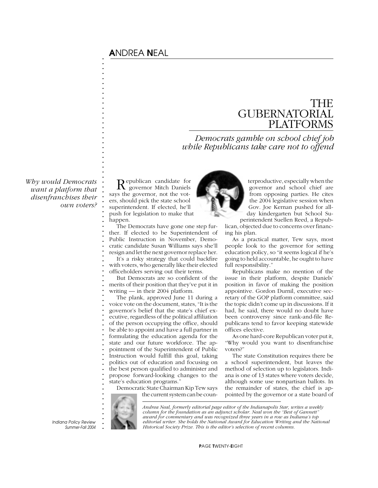## A*NDREA* N*EAL*

**. . . . . . . . . . . . . . . . . . . . . . . . . . . . . . . . . . . . . . . . . . . . . . . . . . . . . . . . . . . . . . . . . . . . .**

## THE GUBERNATORIAL PLATFORMS

*Democrats gamble on school chief job while Republicans take care not to offend*

*Why would Democrats want a platform that disenfranchises their own voters?*

Republican candidate for governor Mitch Daniels says the governor, not the voters, should pick the state school superintendent. If elected, he'll push for legislation to make that happen.

The Democrats have gone one step further. If elected to be Superintendent of Public Instruction in November, Democratic candidate Susan Williams says she'll resign and let the next governor replace her.

It's a risky strategy that could backfire with voters, who generally like their elected officeholders serving out their terms.

But Democrats are so confident of the merits of their position that they've put it in writing — in their 2004 platform.

The plank, approved June 11 during a voice vote on the document, states, "It is the governor's belief that the state's chief executive, regardless of the political affiliation of the person occupying the office, should be able to appoint and have a full partner in formulating the education agenda for the state and our future workforce. The appointment of the Superintendent of Public Instruction would fulfill this goal, taking politics out of education and focusing on the best person qualified to administer and propose forward-looking changes to the state's education programs."

Democratic State Chairman Kip Tew says the current system can be coun-



terproductive, especially when the governor and school chief are from opposing parties. He cites the 2004 legislative session when Gov. Joe Kernan pushed for allday kindergarten but School Su-

perintendent Suellen Reed, a Republican, objected due to concerns over financing his plan.

As a practical matter, Tew says, most people look to the governor for setting education policy, so "it seems logical if he's going to held accountable, he ought to have full responsibility."

Republicans make no mention of the issue in their platform, despite Daniels' position in favor of making the position appointive. Gordon Durnil, executive secretary of the GOP platform committee, said the topic didn't come up in discussions. If it had, he said, there would no doubt have been controversy since rank-and-file Republicans tend to favor keeping statewide offices elective.

As one hard-core Republican voter put it, "Why would you want to disenfranchise voters?"

The state Constitution requires there be a school superintendent, but leaves the method of selection up to legislators. Indiana is one of 13 states where voters decide, although some use nonpartisan ballots. In the remainder of states, the chief is appointed by the governor or a state board of

**. . . . . .**

*Andrea Neal, formerly editorial page editor of the Indianapolis Star, writes a weekly column for the foundation as an adjunct scholar. Neal won the "Best of Gannett" award for commentary and was recognized three years in a row as Indiana's top editorial writer. She holds the National Award for Education Writing and the National Historical Society Prize. This is the editor's selection of recent columns.*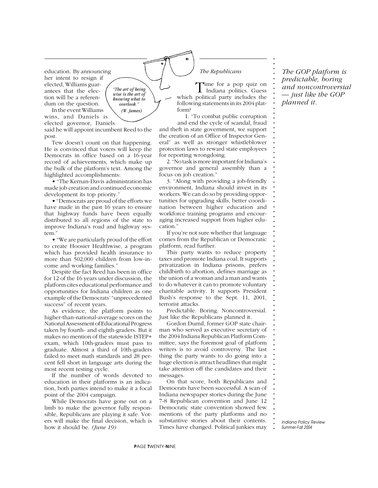education. By announcing her intent to resign if elected, Williams guarantees that the election will be a referendum on the question.

In the event Williams wins, and Daniels is elected governor, Daniels  *(W. James)*

said he will appoint incumbent Reed to the post.

*"The art of being wise is the art of knowing what to overlook."*

Tew doesn't count on that happening. He is convinced that voters will keep the Democrats in office based on a 16-year record of achievements, which make up the bulk of the platform's text. Among the highlighted accomplishments:

• "The Kernan-Davis administration has made job creation and continued economic development its top priority."

• "Democrats are proud of the efforts we have made in the past 16 years to ensure that highway funds have been equally distributed to all regions of the state to improve Indiana's road and highway system."

• "We are particularly proud of the effort to create Hoosier Healthwise, a program which has provided health insurance to more than 502,000 children from low-income and working families."

Despite the fact Reed has been in office for 12 of the 16 years under discussion, the platform cites educational performance and opportunities for Indiana children as one example of the Democrats' "unprecedented success" of recent years.

As evidence, the platform points to higher-than-national-average scores on the National Assessment of Educational Progress taken by fourth- and eighth-graders. But it makes no mention of the statewide ISTEP+ exam, which 10th-graders must pass to graduate. Almost a third of 10th-graders failed to meet math standards and 28 percent fell short in language arts during the most recent testing cycle.

If the number of words devoted to education in their platforms is an indication, both parties intend to make it a focal point of the 2004 campaign.

While Democrats have gone out on a limb to make the governor fully responsible, Republicans are playing it safe. Voters will make the final decision, which is how it should be. *(June 19)*

### *The Republicans*

Time for a pop quiz on<br>Indiana politics. Guess which political party includes the following statements in its 2004 platform?

1. "To combat public corruption and end the cycle of scandal, fraud

and theft in state government, we support the creation of an Office of Inspector General" as well as stronger whistleblower protection laws to reward state employees for reporting wrongdoing.

2. "No task is more important for Indiana's governor and general assembly than a focus on job creation."

3. "Along with providing a job-friendly environment, Indiana should invest in its workers. We can do so by providing opportunities for upgrading skills, better coordination between higher education and workforce training programs and encouraging increased support from higher education."

If you're not sure whether that language comes from the Republican or Democratic platform, read further.

This party wants to reduce property taxes and promote Indiana coal. It supports privatization in Indiana prisons, prefers childbirth to abortion, defines marriage as the union of a woman and a man and wants to do whatever it can to promote voluntary charitable activity. It supports President Bush's response to the Sept. 11, 2001, terrorist attacks.

Predictable. Boring. Noncontroversial. Just like the Republicans planned it.

Gordon Durnil, former GOP state chairman who served as executive secretary of the 2004 Indiana Republican Platform Committee, says the foremost goal of platform writers is to avoid controversy. The last thing the party wants to do going into a huge election is attract headlines that might take attention off the candidates and their messages.

On that score, both Republicans and Democrats have been successful. A scan of Indiana newspaper stories during the June 7-8 Republican convention and June 12 Democratic state convention showed few mentions of the party platforms and no substantive stories about their contents. Times have changed. Political junkies may

*The GOP platform is predictable, boring and noncontroversial — just like the GOP planned it.*

**. . . . . . . . . . . . . . . . . . . . . . . . . . . . . . . . . . . . . . . . . . . . . . . . . . . . . . . . . . . . . . . . . . . . . . . . . . .**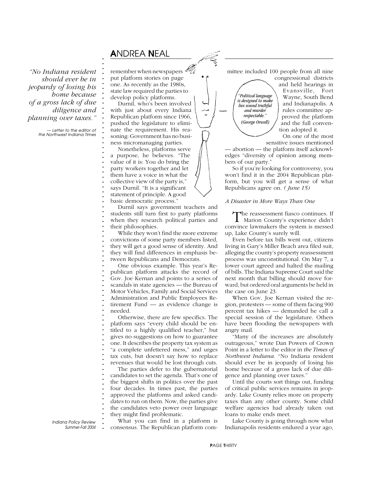## A*NDREA* N*EAL*

**. . . . . . . . . . . . . . . . . . . . . . . . . . . . . . . . . . . . . . . . . . . . . . . . . . . . . . . . . . . . . . . . . . . . . . . . . . .**

*"No Indiana resident should ever be in jeopardy of losing his home because of a gross lack of due diligence and planning over taxes."*

> *— Letter to the editor of the Northwest Indiana Times*

remember when newspapers  $\mathscr{U}_{\mathcal{U}}$ put platform stories on page one. As recently as the 1980s, state law required the parties to develop policy platforms.

Durnil, who's been involved with just about every Indiana Republican platform since 1966, pushed the legislature to eliminate the requirement. His reasoning: Government has no business micromanaging parties.

Nonetheless, platforms serve a purpose, he believes. "The value of it is: You do bring the party workers together and let them have a voice in what the collective view of the party is," says Durnil. "It is a significant statement of principle. A good basic democratic process."

Durnil says government teachers and students still turn first to party platforms when they research political parties and their philosophies.

While they won't find the more extreme convictions of some party members listed, they will get a good sense of identity. And they will find differences in emphasis between Republicans and Democrats.

One obvious example. This year's Republican platform attacks the record of Gov. Joe Kernan and points to a series of scandals in state agencies — the Bureau of Motor Vehicles, Family and Social Services Administration and Public Employees Retirement Fund — as evidence change is needed.

Otherwise, there are few specifics. The platform says "every child should be entitled to a highly qualified teacher," but gives no suggestions on how to guarantee one. It describes the property tax system as "a complete unfettered mess," and urges tax cuts, but doesn't say how to replace revenues that would be lost through cuts.

The parties defer to the gubernatorial candidates to set the agenda. That's one of the biggest shifts in politics over the past four decades. In times past, the parties approved the platforms and asked candidates to run on them. Now, the parties give the candidates veto power over language they might find problematic.

What you can find in a platform is consensus. The Republican platform committee included 100 people from all nine congressional districts

*"Political language is designed to make lies sound truthful and murder respectable." (George Orwell)*

and held hearings in Evansville, Fort Wayne, South Bend and Indianapolis. A rules committee approved the platform and the full convention adopted it.

On one of the most sensitive issues mentioned

— abortion — the platform itself acknowledges "diversity of opinion among members of our party."

So if you're looking for controversy, you won't find it in the 2004 Republican platform, but you will get a sense of what Republicans agree on. *( June 15)*

### *A Disaster in More Ways Than One*

The reassessment fiasco continues. If Marion County's experience didn't convince lawmakers the system is messed up, Lake County's surely will.

Even before tax bills went out, citizens living in Gary's Miller Beach area filed suit, alleging the county's property reassessment process was unconstitutional. On May 7, a lower court agreed and halted the mailing of bills. The Indiana Supreme Court said the next month that billing should move forward, but ordered oral arguments be held in the case on June 23.

When Gov. Joe Kernan visited the region, protesters — some of them facing 900 percent tax hikes — demanded he call a special session of the legislature. Others have been flooding the newspapers with angry mail.

"Many of the increases are absolutely outrageous," wrote Dan Powers of Crown Point in a letter to the editor in *the Times of Northwest Indiana.* "No Indiana resident should ever be in jeopardy of losing his home because of a gross lack of due diligence and planning over taxes."

Until the courts sort things out, funding of critical public services remains in jeopardy. Lake County relies more on property taxes than any other county. Some child welfare agencies had already taken out loans to make ends meet.

Lake County is going through now what Indianapolis residents endured a year ago,

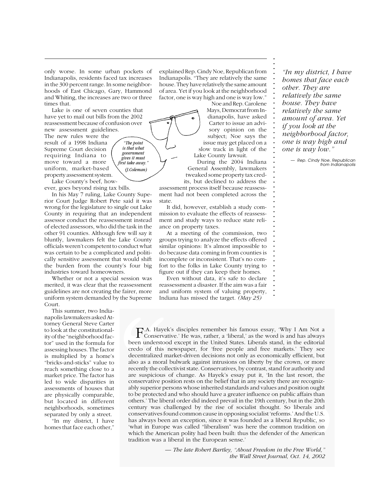only worse. In some urban pockets of Indianapolis, residents faced tax increases in the 300 percent range. In some neighborhoods of East Chicago, Gary, Hammond and Whiting, the increases are two or three times that.

Lake is one of seven counties that have yet to mail out bills from the 2002 reassessment because of confusion over new assessment guidelines.

> *"The point is that what government gives it must first take away." (J.Coleman)*

The new rules were the result of a 1998 Indiana Supreme Court decision requiring Indiana to move toward a more uniform, market-based property assessment system.

Lake County's beef, however, goes beyond rising tax bills.

In his May 7 ruling, Lake County Superior Court Judge Robert Pete said it was wrong for the legislature to single out Lake County in requiring that an independent assessor conduct the reassessment instead of elected assessors, who did the task in the other 91 counties. Although few will say it bluntly, lawmakers felt the Lake County officials weren't competent to conduct what was certain to be a complicated and politically sensitive assessment that would shift the burden from the county's four big industries toward homeowners.

Whether or not a special session was merited, it was clear that the reassessment guidelines are not creating the fairer, more uniform system demanded by the Supreme Court.

This summer, two Indianapolis lawmakers asked Attorney General Steve Carter to look at the constitutionality of the "neighborhood factor" used in the formula for assessing houses. The factor is multiplied by a home's "bricks-and-sticks" value to reach something close to a market price. The factor has led to wide disparities in assessments of houses that are physically comparable, but located in different neighborhoods, sometimes separated by only a street.

"In my district, I have homes that face each other,"

explained Rep. Cindy Noe, Republican from Indianapolis. "They are relatively the same house. They have relatively the same amount of area. Yet if you look at the neighborhood factor, one is way high and one is way low."

Noe and Rep. Carolene Mays, Democrat from Indianapolis, have asked Carter to issue an advisory opinion on the subject; Noe says the issue may get placed on a slow track in light of the Lake County lawsuit.

**. . . . . . . . . . . . . . . . . . . . . . . . . . . . . . . . . . . . . . . . . . . . . . . . .**

During the 2004 Indiana General Assembly, lawmakers tweaked some property tax credits, but declined to address the

assessment process itself because reassessment had not been completed across the state.

It did, however, establish a study commission to evaluate the effects of reassessment and study ways to reduce state reliance on property taxes.

At a meeting of the commission, two groups trying to analyze the effects offered similar opinions: It's almost impossible to do because data coming in from counties is incomplete or inconsistent. That's no comfort to the folks in Lake County trying to figure out if they can keep their homes.

Even without data, it's safe to declare reassessment a disaster. If the aim was a fair and uniform system of valuing property, Indiana has missed the target. *(May 25)*

*"In my district, I have homes that face each other. They are relatively the same house. They have relatively the same amount of area. Yet if you look at the neighborhood factor, one is way high and one is way low."*

*— Rep. Cindy Noe, Republican from Indianapolis*

F.A. Hayek's disciples remember his famous essay, 'Why I Am Not a<br>Conservative.' He was, rather, a 'liberal,' as the word is and has always **.** Conservative.' He was, rather, a 'liberal,' as the word is and has always **.** been understood except in the United States. Liberals stand, in the editorial **.** credo of this newspaper, for 'free people and free markets.' They see **.** decentralized market-driven decisions not only as economically efficient, but **. .** also as a moral bulwark against intrusions on liberty by the crown, or more **.** recently the collectivist state. Conservatives, by contrast, stand for authority and **Example 1.**<br>
are suspicious of change. As Hayek's essay put it, 'In the last resort, the **.** conservative position rests on the belief that in any society there are recogniz-**.** ably superior persons whose inherited standards and values and position ought to be protected and who should have a greater influence on public affairs than **. .** others.' The liberal order did indeed prevail in the 19th century, but in the 20th **.** century was challenged by the rise of socialist thought. So liberals and **.** conservatives found common cause in opposing socialist 'reforms.' And the U.S. **. .** has always been an exception, since it was founded as a liberal Republic, so Indiana *Reviewed and Exception*, since it was founded as a injetar Republic, so what in Europe was called "liberalism" was here the common tradition on **F.A. Hayek':**<br>Conservativ been understood<br>credo of this ne<br>decentralized ma<br>also as a moral b<br>recently the collec<br>are suspicious of<br>conservative posi<br>ably superior pers<br>to be protected an<br>others.' The libera<br>century was c bublic affairs than<br>ry, but in the 20th<br>So liberals and<br>rms.' And the U.S.<br>eral Republic, so<br>mon tradition on<br>of the American<br>the Free World,"<br>al, Oct. 14, 2002 which the American polity had been built: thus the defender of the American tradition was a liberal in the European sense.'

*— The late Robert Bartley, "About Freedom in the Free World," the Wall Street Journal, Oct. 14, 2002*